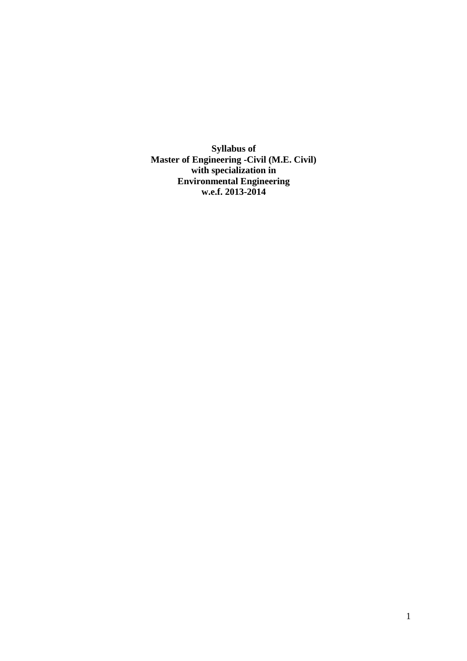**Syllabus of Master of Engineering -Civil (M.E. Civil) with specialization in Environmental Engineering w.e.f. 2013-2014**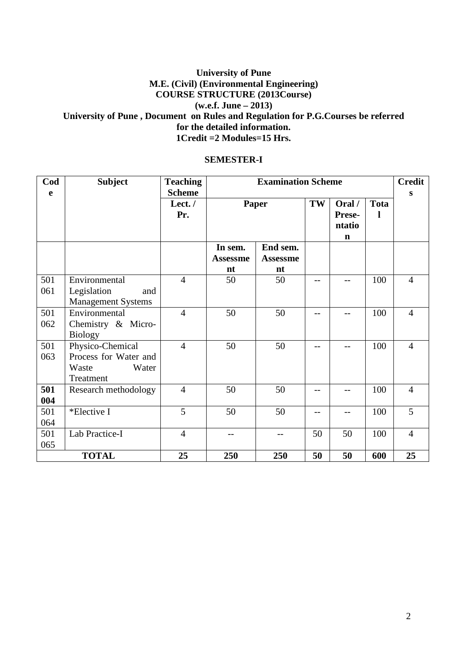## **University of Pune M.E. (Civil) (Environmental Engineering) COURSE STRUCTURE (2013Course) (w.e.f. June – 2013) University of Pune , Document on Rules and Regulation for P.G.Courses be referred for the detailed information. 1Credit =2 Modules=15 Hrs.**

#### **SEMESTER-I**

| Cod | <b>Subject</b>            | <b>Teaching</b>  |                 | <b>Examination Scheme</b> |      |                  |                  |                |
|-----|---------------------------|------------------|-----------------|---------------------------|------|------------------|------------------|----------------|
| e   |                           | <b>Scheme</b>    |                 |                           |      |                  |                  | S              |
|     |                           | Lect. $/$<br>Pr. | <b>Paper</b>    |                           | TW   | Oral /<br>Prese- | <b>Tota</b><br>ı |                |
|     |                           |                  |                 |                           |      | ntatio           |                  |                |
|     |                           |                  |                 |                           |      | $\mathbf n$      |                  |                |
|     |                           |                  | In sem.         | End sem.                  |      |                  |                  |                |
|     |                           |                  | <b>Assessme</b> | <b>Assessme</b>           |      |                  |                  |                |
|     |                           |                  | nt              | nt                        |      |                  |                  |                |
| 501 | Environmental             | $\overline{4}$   | 50              | 50                        | $-$  |                  | 100              | $\overline{4}$ |
| 061 | Legislation<br>and        |                  |                 |                           |      |                  |                  |                |
|     | <b>Management Systems</b> |                  |                 |                           |      |                  |                  |                |
| 501 | Environmental             | $\overline{4}$   | 50              | 50                        | $-1$ |                  | 100              | $\overline{4}$ |
| 062 | Chemistry & Micro-        |                  |                 |                           |      |                  |                  |                |
|     | <b>Biology</b>            |                  |                 |                           |      |                  |                  |                |
| 501 | Physico-Chemical          | $\overline{4}$   | 50              | 50                        | $-$  | $-1$             | 100              | $\overline{4}$ |
| 063 | Process for Water and     |                  |                 |                           |      |                  |                  |                |
|     | Waste<br>Water            |                  |                 |                           |      |                  |                  |                |
|     | Treatment                 |                  |                 |                           |      |                  |                  |                |
| 501 | Research methodology      | $\overline{4}$   | 50              | 50                        |      |                  | 100              | $\overline{4}$ |
| 004 |                           |                  |                 |                           |      |                  |                  |                |
| 501 | *Elective I               | 5                | 50              | 50                        | $-$  | $-$              | 100              | 5              |
| 064 |                           |                  |                 |                           |      |                  |                  |                |
| 501 | Lab Practice-I            | $\overline{4}$   | $-$             | $-1$                      | 50   | 50               | 100              | $\overline{4}$ |
| 065 |                           |                  |                 |                           |      |                  |                  |                |
|     | <b>TOTAL</b>              | 25               | 250             | 250                       | 50   | 50               | 600              | 25             |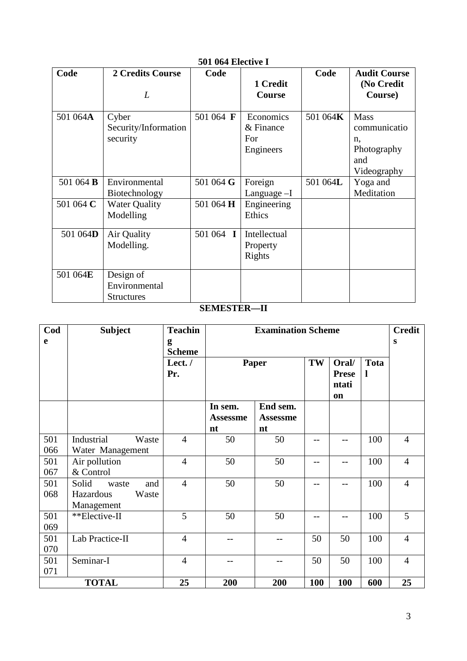| Code             | 2 Credits Course<br>L                           | Code             | 1 Credit<br>Course                           | Code     | <b>Audit Course</b><br>(No Credit<br>Course)                    |
|------------------|-------------------------------------------------|------------------|----------------------------------------------|----------|-----------------------------------------------------------------|
|                  |                                                 |                  |                                              |          |                                                                 |
| 501 064A         | Cyber<br>Security/Information<br>security       | 501 064 F        | Economics<br>$&$ Finance<br>For<br>Engineers | 501 064K | Mass<br>communicatio<br>n,<br>Photography<br>and<br>Videography |
| 501 064 <b>B</b> | Environmental<br>Biotechnology                  | 501 064 G        | Foreign<br>Language $-I$                     | 501 064L | Yoga and<br>Meditation                                          |
| 501 064 C        | <b>Water Quality</b><br>Modelling               | 501 064 H        | Engineering<br>Ethics                        |          |                                                                 |
| 501 064D         | Air Quality<br>Modelling.                       | 501 064 <b>I</b> | Intellectual<br>Property<br>Rights           |          |                                                                 |
| 501 064E         | Design of<br>Environmental<br><b>Structures</b> |                  |                                              |          |                                                                 |

# **501 064 Elective I**

# **SEMESTER—II**

| Cod        | <b>Subject</b>                                            | <b>Teachin</b>     |                                  | <b>Examination Scheme</b>         |      |                                                 |                  | <b>Credit</b>  |
|------------|-----------------------------------------------------------|--------------------|----------------------------------|-----------------------------------|------|-------------------------------------------------|------------------|----------------|
| e          |                                                           | g<br><b>Scheme</b> |                                  |                                   |      |                                                 |                  | S              |
|            |                                                           | Lect./<br>Pr.      | Paper                            |                                   | TW   | Oral/<br><b>Prese</b><br>ntati<br><sub>on</sub> | <b>Tota</b><br>1 |                |
|            |                                                           |                    | In sem.<br><b>Assessme</b><br>nt | End sem.<br><b>Assessme</b><br>nt |      |                                                 |                  |                |
| 501<br>066 | Industrial<br>Waste<br>Water Management                   | $\overline{4}$     | 50                               | 50                                | $-1$ | $-$                                             | 100              | $\overline{4}$ |
| 501<br>067 | Air pollution<br>& Control                                | $\overline{4}$     | 50                               | 50                                | --   | $-$                                             | 100              | $\overline{4}$ |
| 501<br>068 | Solid<br>and<br>waste<br>Hazardous<br>Waste<br>Management | $\overline{4}$     | 50                               | 50                                | --   | $-$                                             | 100              | $\overline{4}$ |
| 501<br>069 | **Elective-II                                             | 5                  | 50                               | 50                                | --   | $-$                                             | 100              | 5              |
| 501<br>070 | Lab Practice-II                                           | $\overline{4}$     |                                  | --                                | 50   | 50                                              | 100              | $\overline{4}$ |
| 501<br>071 | Seminar-I                                                 | $\overline{4}$     | --                               | --                                | 50   | 50                                              | 100              | $\overline{4}$ |
|            | <b>TOTAL</b>                                              | 25                 | 200                              | 200                               | 100  | 100                                             | 600              | 25             |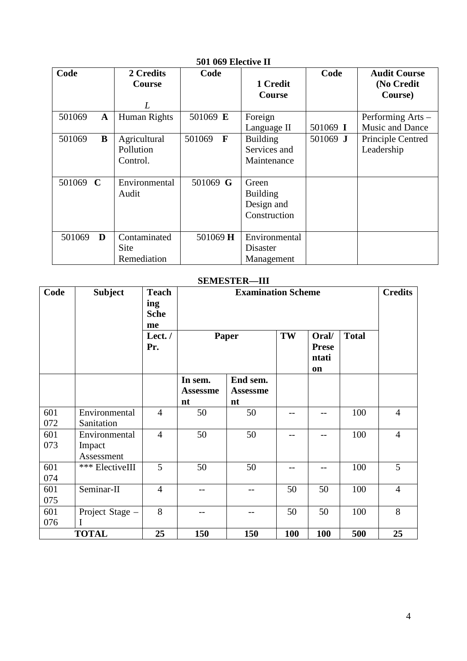|          |             |               | ovi vož Literite II    |                 |          |                        |
|----------|-------------|---------------|------------------------|-----------------|----------|------------------------|
| Code     |             | 2 Credits     | Code                   |                 | Code     | <b>Audit Course</b>    |
|          |             | Course        |                        | 1 Credit        |          | (No Credit             |
|          |             |               |                        | Course          |          | Course)                |
|          |             | L             |                        |                 |          |                        |
| 501069   | $\mathbf A$ | Human Rights  | 501069 E               | Foreign         |          | Performing Arts -      |
|          |             |               |                        | Language II     | 501069 I | <b>Music and Dance</b> |
| 501069   | B           | Agricultural  | $\mathbf{F}$<br>501069 | <b>Building</b> | 501069 J | Principle Centred      |
|          |             | Pollution     |                        | Services and    |          | Leadership             |
|          |             | Control.      |                        | Maintenance     |          |                        |
|          |             |               |                        |                 |          |                        |
| 501069 C |             | Environmental | 501069 G               | Green           |          |                        |
|          |             | Audit         |                        | <b>Building</b> |          |                        |
|          |             |               |                        | Design and      |          |                        |
|          |             |               |                        | Construction    |          |                        |
|          |             |               |                        |                 |          |                        |
| 501069   | D           | Contaminated  | 501069 H               | Environmental   |          |                        |
|          |             | Site          |                        | Disaster        |          |                        |
|          |             | Remediation   |                        | Management      |          |                        |

# **501 069 Elective II**

## **SEMESTER—III**

| Code       | <b>Subject</b>                        | <b>Teach</b><br>ing<br><b>Sche</b> |                                  | <b>Credits</b>                    |     |                                             |              |                |
|------------|---------------------------------------|------------------------------------|----------------------------------|-----------------------------------|-----|---------------------------------------------|--------------|----------------|
|            |                                       | me<br>Lect. $/$<br>Pr.             |                                  | Paper                             | TW  | Oral/<br><b>Prese</b><br>ntati<br><b>on</b> | <b>Total</b> |                |
|            |                                       |                                    | In sem.<br><b>Assessme</b><br>nt | End sem.<br><b>Assessme</b><br>nt |     |                                             |              |                |
| 601<br>072 | Environmental<br>Sanitation           | $\overline{4}$                     | 50                               | 50                                |     |                                             | 100          | $\overline{4}$ |
| 601<br>073 | Environmental<br>Impact<br>Assessment | $\overline{4}$                     | 50                               | 50                                |     |                                             | 100          | $\overline{4}$ |
| 601<br>074 | *** ElectiveIII                       | 5                                  | 50                               | 50                                |     |                                             | 100          | 5              |
| 601<br>075 | Seminar-II                            | $\overline{4}$                     | --                               |                                   | 50  | 50                                          | 100          | $\overline{4}$ |
| 601<br>076 | Project Stage -                       | 8                                  |                                  |                                   | 50  | 50                                          | 100          | 8              |
|            | <b>TOTAL</b>                          | 25                                 | 150                              | 150                               | 100 | 100                                         | 500          | 25             |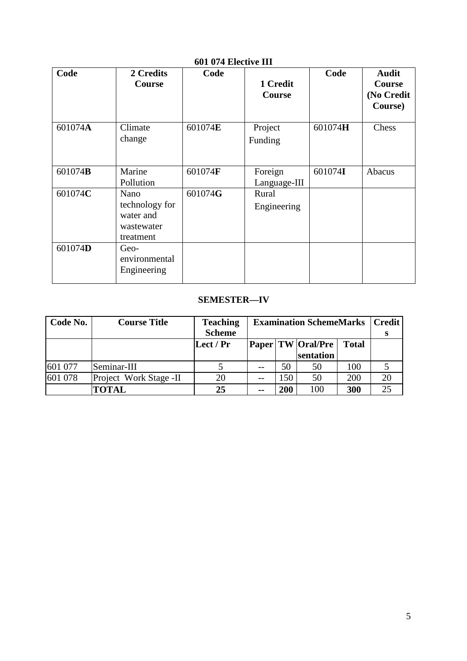| Code    | 2 Credits<br>Course                                            | Code    | 1 Credit<br>Course      | Code    | <b>Audit</b><br>Course<br>(No Credit<br>Course) |
|---------|----------------------------------------------------------------|---------|-------------------------|---------|-------------------------------------------------|
| 601074A | Climate<br>change                                              | 601074E | Project<br>Funding      | 601074H | Chess                                           |
| 601074B | Marine<br>Pollution                                            | 601074F | Foreign<br>Language-III | 601074I | Abacus                                          |
| 601074C | Nano<br>technology for<br>water and<br>wastewater<br>treatment | 601074G | Rural<br>Engineering    |         |                                                 |
| 601074D | Geo-<br>environmental<br>Engineering                           |         |                         |         |                                                 |

# **601 074 Elective III**

# **SEMESTER—IV**

| Code No. | <b>Course Title</b>    | <b>Teaching</b> | <b>Examination SchemeMarks</b> |     |                       | <b>Credit</b> |    |
|----------|------------------------|-----------------|--------------------------------|-----|-----------------------|---------------|----|
|          |                        | <b>Scheme</b>   |                                |     |                       |               |    |
|          |                        | Lect / $Pr$     |                                |     | Paper   TW   Oral/Pre | <b>Total</b>  |    |
|          |                        |                 |                                |     | sentation             |               |    |
| 601 077  | Seminar-III            |                 |                                | 50  | 50                    | 100           |    |
| 601 078  | Project Work Stage -II | 20              |                                | 150 | 50                    | 200           | 20 |
|          | <b>TOTAL</b>           | 25              | --                             | 200 | 100                   | 300           |    |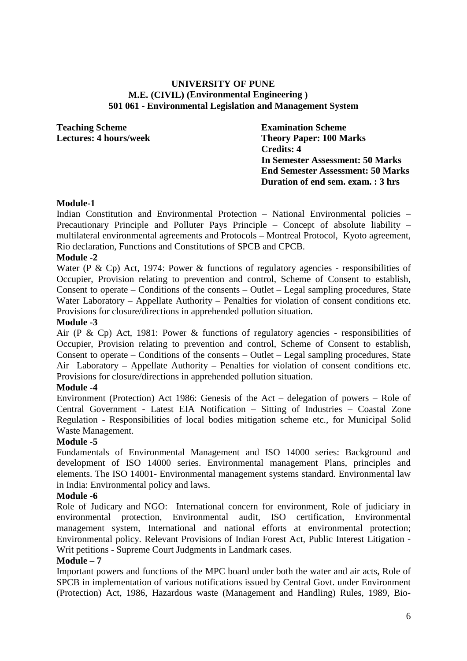#### **UNIVERSITY OF PUNE M.E. (CIVIL) (Environmental Engineering ) 501 061 - Environmental Legislation and Management System**

**Teaching Scheme Examination Scheme** 

**Lectures: 4 hours/week Theory Paper: 100 Marks Credits: 4 In Semester Assessment: 50 Marks End Semester Assessment: 50 Marks Duration of end sem. exam. : 3 hrs** 

#### **Module-1**

Indian Constitution and Environmental Protection – National Environmental policies – Precautionary Principle and Polluter Pays Principle – Concept of absolute liability – multilateral environmental agreements and Protocols – Montreal Protocol, Kyoto agreement, Rio declaration, Functions and Constitutions of SPCB and CPCB.

## **Module -2**

Water (P & Cp) Act, 1974: Power & functions of regulatory agencies - responsibilities of Occupier, Provision relating to prevention and control, Scheme of Consent to establish, Consent to operate – Conditions of the consents – Outlet – Legal sampling procedures, State Water Laboratory – Appellate Authority – Penalties for violation of consent conditions etc. Provisions for closure/directions in apprehended pollution situation.

#### **Module -3**

Air (P & Cp) Act, 1981: Power & functions of regulatory agencies - responsibilities of Occupier, Provision relating to prevention and control, Scheme of Consent to establish, Consent to operate – Conditions of the consents – Outlet – Legal sampling procedures, State Air Laboratory – Appellate Authority – Penalties for violation of consent conditions etc. Provisions for closure/directions in apprehended pollution situation.

#### **Module -4**

Environment (Protection) Act 1986: Genesis of the Act – delegation of powers – Role of Central Government - Latest EIA Notification – Sitting of Industries – Coastal Zone Regulation - Responsibilities of local bodies mitigation scheme etc., for Municipal Solid Waste Management.

#### **Module -5**

Fundamentals of Environmental Management and ISO 14000 series: Background and development of ISO 14000 series. Environmental management Plans, principles and elements. The ISO 14001- Environmental management systems standard. Environmental law in India: Environmental policy and laws.

#### **Module -6**

Role of Judicary and NGO: International concern for environment, Role of judiciary in environmental protection, Environmental audit, ISO certification, Environmental management system, International and national efforts at environmental protection; Environmental policy. Relevant Provisions of Indian Forest Act, Public Interest Litigation - Writ petitions - Supreme Court Judgments in Landmark cases.

#### **Module – 7**

Important powers and functions of the MPC board under both the water and air acts, Role of SPCB in implementation of various notifications issued by Central Govt. under Environment (Protection) Act, 1986, Hazardous waste (Management and Handling) Rules, 1989, Bio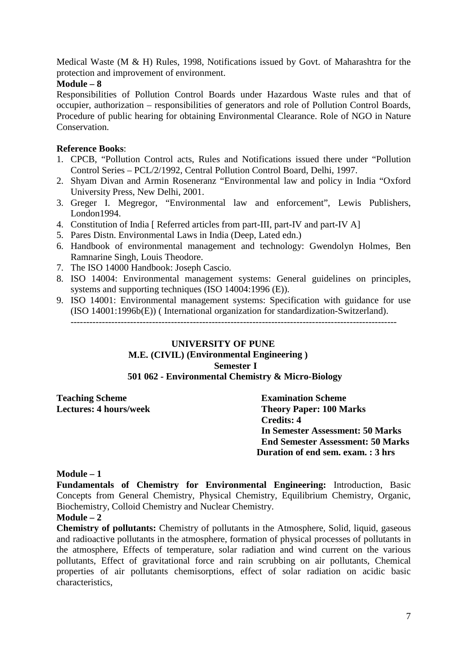Medical Waste (M & H) Rules, 1998, Notifications issued by Govt. of Maharashtra for the protection and improvement of environment.

#### **Module – 8**

Responsibilities of Pollution Control Boards under Hazardous Waste rules and that of occupier, authorization – responsibilities of generators and role of Pollution Control Boards, Procedure of public hearing for obtaining Environmental Clearance. Role of NGO in Nature Conservation.

## **Reference Books**:

- 1. CPCB, "Pollution Control acts, Rules and Notifications issued there under "Pollution Control Series – PCL/2/1992, Central Pollution Control Board, Delhi, 1997.
- 2. Shyam Divan and Armin Roseneranz "Environmental law and policy in India "Oxford University Press, New Delhi, 2001.
- 3. Greger I. Megregor, "Environmental law and enforcement", Lewis Publishers, London1994.
- 4. Constitution of India [ Referred articles from part-III, part-IV and part-IV A]
- 5. Pares Distn. Environmental Laws in India (Deep, Lated edn.)
- 6. Handbook of environmental management and technology: Gwendolyn Holmes, Ben Ramnarine Singh, Louis Theodore.
- 7. The ISO 14000 Handbook: Joseph Cascio.
- 8. ISO 14004: Environmental management systems: General guidelines on principles, systems and supporting techniques (ISO 14004:1996 (E)).
- 9. ISO 14001: Environmental management systems: Specification with guidance for use (ISO 14001:1996b(E)) ( International organization for standardization-Switzerland). --------------------------------------------------------------------------------------------------------

## **UNIVERSITY OF PUNE**

# **M.E. (CIVIL) (Environmental Engineering )**

**Semester I**

## **501 062 - Environmental Chemistry & Micro-Biology**

**Teaching Scheme 2.1 Examination Scheme**<br> **Theory Paper: 100 Minutes: 4 hours/week 2.1 Examination Scheme** 

**Theory Paper: 100 Marks Credits: 4 In Semester Assessment: 50 Marks End Semester Assessment: 50 Marks Duration of end sem. exam. : 3 hrs** 

#### **Module – 1**

**Fundamentals of Chemistry for Environmental Engineering:** Introduction, Basic Concepts from General Chemistry, Physical Chemistry, Equilibrium Chemistry, Organic, Biochemistry, Colloid Chemistry and Nuclear Chemistry.

## **Module – 2**

**Chemistry of pollutants:** Chemistry of pollutants in the Atmosphere, Solid, liquid, gaseous and radioactive pollutants in the atmosphere, formation of physical processes of pollutants in the atmosphere, Effects of temperature, solar radiation and wind current on the various pollutants, Effect of gravitational force and rain scrubbing on air pollutants, Chemical properties of air pollutants chemisorptions, effect of solar radiation on acidic basic characteristics,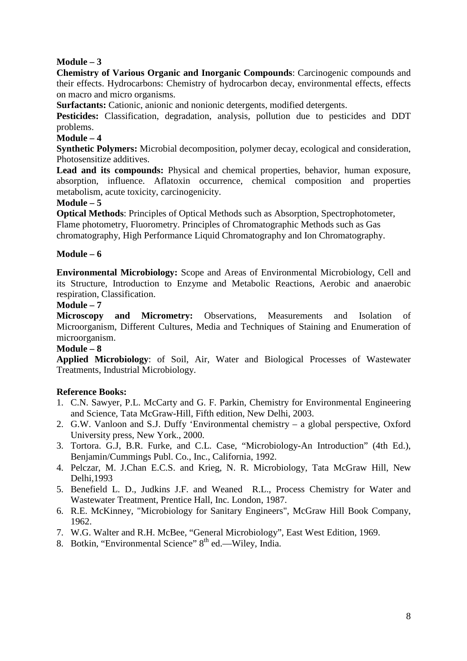## **Module – 3**

**Chemistry of Various Organic and Inorganic Compounds**: Carcinogenic compounds and their effects. Hydrocarbons: Chemistry of hydrocarbon decay, environmental effects, effects on macro and micro organisms.

**Surfactants:** Cationic, anionic and nonionic detergents, modified detergents.

Pesticides: Classification, degradation, analysis, pollution due to pesticides and DDT problems.

## **Module – 4**

**Synthetic Polymers:** Microbial decomposition, polymer decay, ecological and consideration, Photosensitize additives.

**Lead and its compounds:** Physical and chemical properties, behavior, human exposure, absorption, influence. Aflatoxin occurrence, chemical composition and properties metabolism, acute toxicity, carcinogenicity.

## **Module – 5**

**Optical Methods**: Principles of Optical Methods such as Absorption, Spectrophotometer, Flame photometry, Fluorometry. Principles of Chromatographic Methods such as Gas chromatography, High Performance Liquid Chromatography and Ion Chromatography.

## **Module – 6**

**Environmental Microbiology:** Scope and Areas of Environmental Microbiology, Cell and its Structure, Introduction to Enzyme and Metabolic Reactions, Aerobic and anaerobic respiration, Classification.

#### **Module – 7**

**Microscopy and Micrometry:** Observations, Measurements and Isolation of Microorganism, Different Cultures, Media and Techniques of Staining and Enumeration of microorganism.

#### **Module – 8**

**Applied Microbiology**: of Soil, Air, Water and Biological Processes of Wastewater Treatments, Industrial Microbiology.

## **Reference Books:**

- 1. C.N. Sawyer, P.L. McCarty and G. F. Parkin, Chemistry for Environmental Engineering and Science, Tata McGraw-Hill, Fifth edition, New Delhi, 2003.
- 2. G.W. Vanloon and S.J. Duffy 'Environmental chemistry a global perspective, Oxford University press, New York., 2000.
- 3. Tortora. G.J, B.R. Furke, and C.L. Case, "Microbiology-An Introduction" (4th Ed.), Benjamin/Cummings Publ. Co., Inc., California, 1992.
- 4. Pelczar, M. J.Chan E.C.S. and Krieg, N. R. Microbiology, Tata McGraw Hill, New Delhi,1993
- 5. Benefield L. D., Judkins J.F. and Weaned R.L., Process Chemistry for Water and Wastewater Treatment, Prentice Hall, Inc. London, 1987.
- 6. R.E. McKinney, "Microbiology for Sanitary Engineers", McGraw Hill Book Company, 1962.
- 7. W.G. Walter and R.H. McBee, "General Microbiology", East West Edition, 1969.
- 8. Botkin, "Environmental Science" 8<sup>th</sup> ed.—Wiley, India.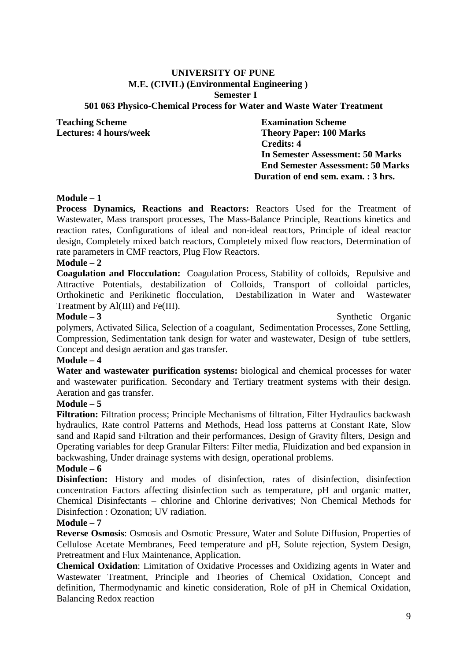# **UNIVERSITY OF PUNE M.E. (CIVIL) (Environmental Engineering )**

#### **Semester I**

#### **501 063 Physico-Chemical Process for Water and Waste Water Treatment**

**Teaching Scheme Examination Scheme** 

**Lectures: 4 hours/week Theory Paper: 100 Marks Credits: 4 In Semester Assessment: 50 Marks End Semester Assessment: 50 Marks Duration of end sem. exam. : 3 hrs.** 

#### **Module – 1**

**Process Dynamics, Reactions and Reactors:** Reactors Used for the Treatment of Wastewater, Mass transport processes, The Mass-Balance Principle, Reactions kinetics and reaction rates, Configurations of ideal and non-ideal reactors, Principle of ideal reactor design, Completely mixed batch reactors, Completely mixed flow reactors, Determination of rate parameters in CMF reactors, Plug Flow Reactors.

#### **Module – 2**

**Coagulation and Flocculation:** Coagulation Process, Stability of colloids, Repulsive and Attractive Potentials, destabilization of Colloids, Transport of colloidal particles, Orthokinetic and Perikinetic flocculation, Destabilization in Water and Wastewater Treatment by Al(III) and Fe(III).

**Module – 3** Synthetic Organic

polymers, Activated Silica, Selection of a coagulant, Sedimentation Processes, Zone Settling, Compression, Sedimentation tank design for water and wastewater, Design of tube settlers, Concept and design aeration and gas transfer.

#### **Module – 4**

**Water and wastewater purification systems:** biological and chemical processes for water and wastewater purification. Secondary and Tertiary treatment systems with their design. Aeration and gas transfer.

#### **Module – 5**

**Filtration:** Filtration process; Principle Mechanisms of filtration, Filter Hydraulics backwash hydraulics, Rate control Patterns and Methods, Head loss patterns at Constant Rate, Slow sand and Rapid sand Filtration and their performances, Design of Gravity filters, Design and Operating variables for deep Granular Filters: Filter media, Fluidization and bed expansion in backwashing, Under drainage systems with design, operational problems.

#### **Module – 6**

**Disinfection:** History and modes of disinfection, rates of disinfection, disinfection concentration Factors affecting disinfection such as temperature, pH and organic matter, Chemical Disinfectants – chlorine and Chlorine derivatives; Non Chemical Methods for Disinfection : Ozonation; UV radiation.

#### **Module – 7**

**Reverse Osmosis**: Osmosis and Osmotic Pressure, Water and Solute Diffusion, Properties of Cellulose Acetate Membranes, Feed temperature and pH, Solute rejection, System Design, Pretreatment and Flux Maintenance, Application.

**Chemical Oxidation**: Limitation of Oxidative Processes and Oxidizing agents in Water and Wastewater Treatment, Principle and Theories of Chemical Oxidation, Concept and definition, Thermodynamic and kinetic consideration, Role of pH in Chemical Oxidation, Balancing Redox reaction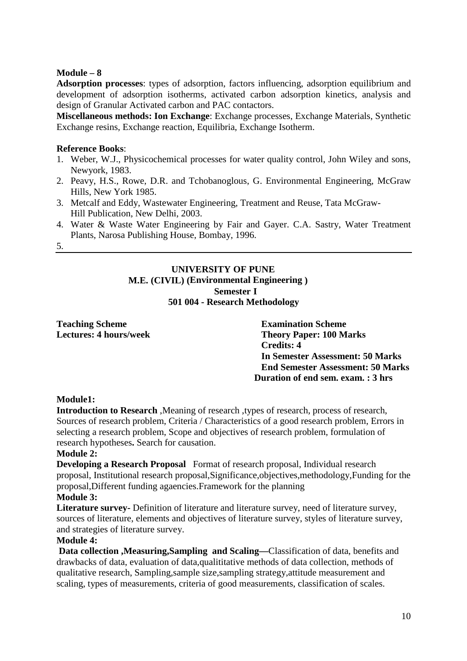## **Module – 8**

**Adsorption processes**: types of adsorption, factors influencing, adsorption equilibrium and development of adsorption isotherms, activated carbon adsorption kinetics, analysis and design of Granular Activated carbon and PAC contactors.

**Miscellaneous methods: Ion Exchange**: Exchange processes, Exchange Materials, Synthetic Exchange resins, Exchange reaction, Equilibria, Exchange Isotherm.

#### **Reference Books**:

- 1. Weber, W.J., Physicochemical processes for water quality control, John Wiley and sons, Newyork, 1983.
- 2. Peavy, H.S., Rowe, D.R. and Tchobanoglous, G. Environmental Engineering, McGraw Hills, New York 1985.
- 3. Metcalf and Eddy, Wastewater Engineering, Treatment and Reuse, Tata McGraw- Hill Publication, New Delhi, 2003.
- 4. Water & Waste Water Engineering by Fair and Gayer. C.A. Sastry, Water Treatment Plants, Narosa Publishing House, Bombay, 1996.
- 5.

## **UNIVERSITY OF PUNE M.E. (CIVIL) (Environmental Engineering ) Semester I 501 004 - Research Methodology**

**Teaching Scheme Examination Scheme** 

**Lectures: 4 hours/week Theory Paper: 100 Marks Credits: 4 In Semester Assessment: 50 Marks End Semester Assessment: 50 Marks Duration of end sem. exam. : 3 hrs** 

## **Module1:**

**Introduction to Research**, Meaning of research, types of research, process of research, Sources of research problem, Criteria / Characteristics of a good research problem, Errors in selecting a research problem, Scope and objectives of research problem, formulation of research hypotheses**.** Search for causation.

## **Module 2:**

**Developing a Research Proposal** Format of research proposal, Individual research proposal, Institutional research proposal,Significance,objectives,methodology,Funding for the proposal,Different funding agaencies.Framework for the planning

## **Module 3:**

**Literature survey-** Definition of literature and literature survey, need of literature survey, sources of literature, elements and objectives of literature survey, styles of literature survey, and strategies of literature survey.

#### **Module 4:**

 **Data collection ,Measuring,Sampling and Scaling—**Classification of data, benefits and drawbacks of data, evaluation of data,qualititative methods of data collection, methods of qualitative research, Sampling,sample size,sampling strategy,attitude measurement and scaling, types of measurements, criteria of good measurements, classification of scales.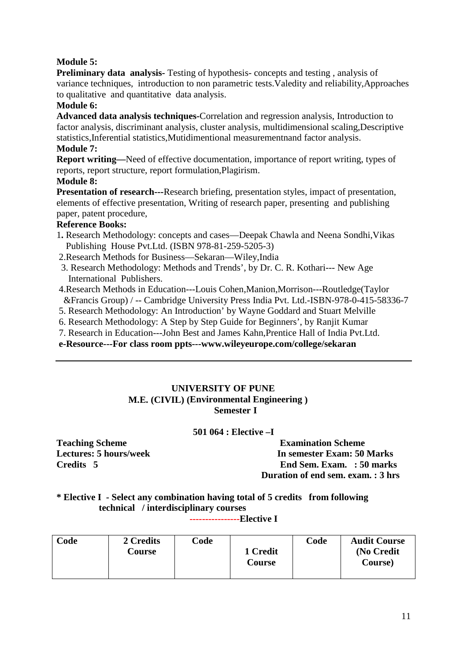## **Module 5:**

**Preliminary data analysis-** Testing of hypothesis- concepts and testing , analysis of variance techniques, introduction to non parametric tests.Valedity and reliability,Approaches to qualitative and quantitative data analysis.

## **Module 6:**

**Advanced data analysis techniques-**Correlation and regression analysis, Introduction to factor analysis, discriminant analysis, cluster analysis, multidimensional scaling,Descriptive statistics,Inferential statistics,Mutidimentional measurementnand factor analysis.

#### **Module 7:**

**Report writing—**Need of effective documentation, importance of report writing, types of reports, report structure, report formulation,Plagirism.

#### **Module 8:**

**Presentation of research---**Research briefing, presentation styles, impact of presentation, elements of effective presentation, Writing of research paper, presenting and publishing paper, patent procedure,

## **Reference Books:**

- 1**.** Research Methodology: concepts and cases—Deepak Chawla and Neena Sondhi,Vikas Publishing House Pvt.Ltd. (ISBN 978-81-259-5205-3)
- 2.Research Methods for Business—Sekaran—Wiley,India
- 3. Research Methodology: Methods and Trends', by Dr. C. R. Kothari--- New Age International Publishers.
- 4.Research Methods in Education---Louis Cohen,Manion,Morrison---Routledge(Taylor &Francis Group) / -- Cambridge University Press India Pvt. Ltd.-ISBN-978-0-415-58336-7
- 5. Research Methodology: An Introduction' by Wayne Goddard and Stuart Melville
- 6. Research Methodology: A Step by Step Guide for Beginners', by Ranjit Kumar
- 7. Research in Education---John Best and James Kahn,Prentice Hall of India Pvt.Ltd.

**e-Resource---For class room ppts---www.wileyeurope.com/college/sekaran** 

## **UNIVERSITY OF PUNE M.E. (CIVIL) (Environmental Engineering ) Semester I**

**501 064 : Elective –I** 

**Teaching Scheme Examination Scheme**<br> **Examination Scheme**<br> **Examination Scheme**<br> **Examination Scheme**<br> **Examination Scheme Let us a let us a let us a let us a let us a let us a let us a let us a let us a let us a let us a let us a let us a let us a let us a let us a let us a let us a let us a let us a let us a let us a let us a let us a let u Credits 5 End Sem. Exam. : 50 marks Duration of end sem. exam. : 3 hrs** 

**\* Elective I - Select any combination having total of 5 credits from following technical / interdisciplinary courses**

**----------------Elective I** 

| Code | 2 Credits<br><b>Course</b> | Code | 1 Credit<br>Course | Code | <b>Audit Course</b><br>(No Credit<br>Course) |
|------|----------------------------|------|--------------------|------|----------------------------------------------|
|------|----------------------------|------|--------------------|------|----------------------------------------------|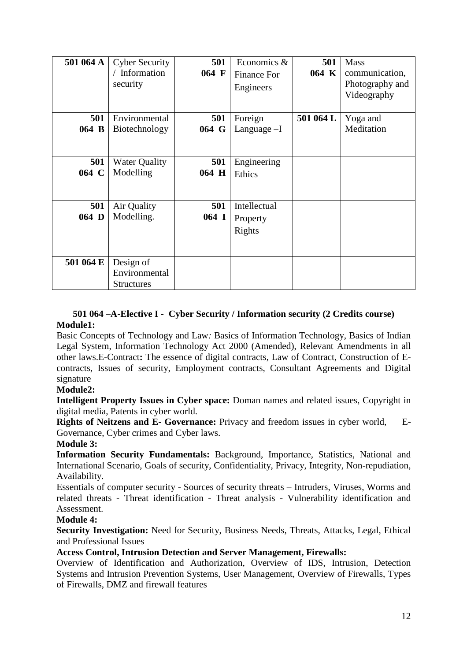| 501 064 A    | <b>Cyber Security</b><br>/ Information<br>security | 501<br>064 F   | Economics &<br><b>Finance For</b><br>Engineers | 501<br>064 K | <b>Mass</b><br>communication,<br>Photography and<br>Videography |
|--------------|----------------------------------------------------|----------------|------------------------------------------------|--------------|-----------------------------------------------------------------|
| 501<br>064 B | Environmental<br>Biotechnology                     | 501<br>064 G   | Foreign<br>Language-I                          | 501 064 L    | Yoga and<br>Meditation                                          |
| 501<br>064 C | <b>Water Quality</b><br>Modelling                  | 501<br>064 H   | Engineering<br>Ethics                          |              |                                                                 |
| 501<br>064 D | Air Quality<br>Modelling.                          | 501<br>$064$ I | Intellectual<br>Property<br>Rights             |              |                                                                 |
| 501 064 E    | Design of<br>Environmental<br><b>Structures</b>    |                |                                                |              |                                                                 |

## **501 064 –A-Elective I - Cyber Security / Information security (2 Credits course) Module1:**

Basic Concepts of Technology and Law*:* Basics of Information Technology, Basics of Indian Legal System, Information Technology Act 2000 (Amended), Relevant Amendments in all other laws.E-Contract**:** The essence of digital contracts, Law of Contract, Construction of Econtracts, Issues of security, Employment contracts, Consultant Agreements and Digital signature

## **Module2:**

**Intelligent Property Issues in Cyber space:** Doman names and related issues, Copyright in digital media, Patents in cyber world.

**Rights of Neitzens and E- Governance:** Privacy and freedom issues in cyber world, E-Governance, Cyber crimes and Cyber laws.

## **Module 3:**

**Information Security Fundamentals:** Background, Importance, Statistics, National and International Scenario, Goals of security, Confidentiality, Privacy, Integrity, Non-repudiation, Availability.

Essentials of computer security - Sources of security threats – Intruders, Viruses, Worms and related threats - Threat identification - Threat analysis - Vulnerability identification and Assessment.

## **Module 4:**

**Security Investigation:** Need for Security, Business Needs, Threats, Attacks, Legal, Ethical and Professional Issues

## **Access Control, Intrusion Detection and Server Management, Firewalls:**

Overview of Identification and Authorization, Overview of IDS, Intrusion, Detection Systems and Intrusion Prevention Systems, User Management, Overview of Firewalls, Types of Firewalls, DMZ and firewall features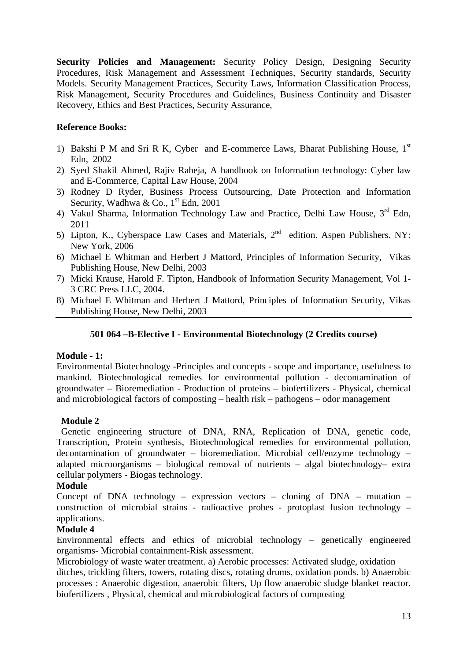**Security Policies and Management:** Security Policy Design, Designing Security Procedures, Risk Management and Assessment Techniques, Security standards, Security Models. Security Management Practices, Security Laws, Information Classification Process, Risk Management, Security Procedures and Guidelines, Business Continuity and Disaster Recovery, Ethics and Best Practices, Security Assurance,

## **Reference Books:**

- 1) Bakshi P M and Sri R K, Cyber and E-commerce Laws, Bharat Publishing House,  $1<sup>st</sup>$ Edn, 2002
- 2) Syed Shakil Ahmed, Rajiv Raheja, A handbook on Information technology: Cyber law and E-Commerce, Capital Law House, 2004
- 3) Rodney D Ryder, Business Process Outsourcing, Date Protection and Information Security, Wadhwa & Co.,  $1<sup>st</sup>$  Edn, 2001
- 4) Vakul Sharma, Information Technology Law and Practice, Delhi Law House,  $3<sup>rd</sup>$  Edn, 2011
- 5) Lipton, K., Cyberspace Law Cases and Materials, 2<sup>nd</sup> edition. Aspen Publishers. NY: New York, 2006
- 6) Michael E Whitman and Herbert J Mattord, Principles of Information Security, Vikas Publishing House, New Delhi, 2003
- 7) Micki Krause, Harold F. Tipton, Handbook of Information Security Management, Vol 1- 3 CRC Press LLC, 2004.
- 8) Michael E Whitman and Herbert J Mattord, Principles of Information Security, Vikas Publishing House, New Delhi, 2003

## **501 064 –B-Elective I - Environmental Biotechnology (2 Credits course)**

#### **Module - 1:**

Environmental Biotechnology -Principles and concepts - scope and importance, usefulness to mankind. Biotechnological remedies for environmental pollution - decontamination of groundwater – Bioremediation - Production of proteins – biofertilizers - Physical, chemical and microbiological factors of composting – health risk – pathogens – odor management

#### **Module 2**

Genetic engineering structure of DNA, RNA, Replication of DNA, genetic code, Transcription, Protein synthesis, Biotechnological remedies for environmental pollution, decontamination of groundwater – bioremediation. Microbial cell/enzyme technology – adapted microorganisms – biological removal of nutrients – algal biotechnology– extra cellular polymers - Biogas technology.

#### **Module**

Concept of DNA technology – expression vectors – cloning of DNA – mutation – construction of microbial strains - radioactive probes - protoplast fusion technology – applications.

## **Module 4**

Environmental effects and ethics of microbial technology – genetically engineered organisms- Microbial containment-Risk assessment.

Microbiology of waste water treatment. a) Aerobic processes: Activated sludge, oxidation ditches, trickling filters, towers, rotating discs, rotating drums, oxidation ponds. b) Anaerobic processes : Anaerobic digestion, anaerobic filters, Up flow anaerobic sludge blanket reactor. biofertilizers , Physical, chemical and microbiological factors of composting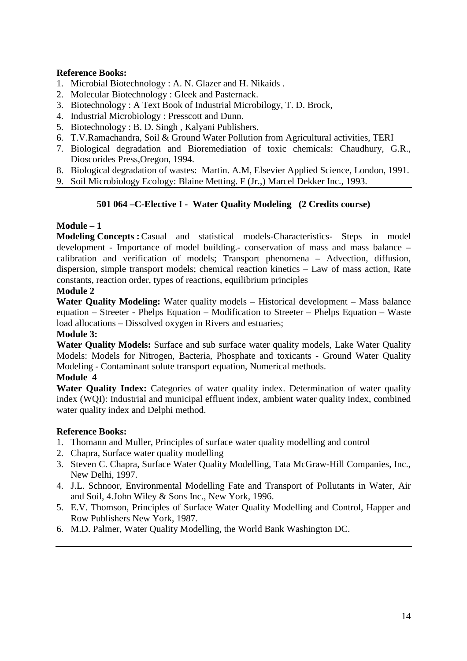## **Reference Books:**

- 1. Microbial Biotechnology : A. N. Glazer and H. Nikaids .
- 2. Molecular Biotechnology : Gleek and Pasternack.
- 3. Biotechnology : A Text Book of Industrial Microbilogy, T. D. Brock,
- 4. Industrial Microbiology : Presscott and Dunn.
- 5. Biotechnology : B. D. Singh , Kalyani Publishers.
- 6. T.V.Ramachandra, Soil & Ground Water Pollution from Agricultural activities, TERI
- 7. Biological degradation and Bioremediation of toxic chemicals: Chaudhury, G.R., Dioscorides Press,Oregon, 1994.
- 8. Biological degradation of wastes: Martin. A.M, Elsevier Applied Science, London, 1991.

9. Soil Microbiology Ecology: Blaine Metting. F (Jr.,) Marcel Dekker Inc., 1993.

## **501 064 –C-Elective I - Water Quality Modeling (2 Credits course)**

## **Module – 1**

**Modeling Concepts :** Casual and statistical models-Characteristics- Steps in model development - Importance of model building.- conservation of mass and mass balance – calibration and verification of models; Transport phenomena – Advection, diffusion, dispersion, simple transport models; chemical reaction kinetics – Law of mass action, Rate constants, reaction order, types of reactions, equilibrium principles

## **Module 2**

**Water Quality Modeling:** Water quality models – Historical development – Mass balance equation – Streeter - Phelps Equation – Modification to Streeter – Phelps Equation – Waste load allocations – Dissolved oxygen in Rivers and estuaries;

#### **Module 3:**

**Water Quality Models:** Surface and sub surface water quality models, Lake Water Quality Models: Models for Nitrogen, Bacteria, Phosphate and toxicants - Ground Water Quality Modeling - Contaminant solute transport equation, Numerical methods.

#### **Module 4**

Water Quality Index: Categories of water quality index. Determination of water quality index (WQI): Industrial and municipal effluent index, ambient water quality index, combined water quality index and Delphi method.

## **Reference Books:**

- 1. Thomann and Muller, Principles of surface water quality modelling and control
- 2. Chapra, Surface water quality modelling
- 3. Steven C. Chapra, Surface Water Quality Modelling, Tata McGraw-Hill Companies, Inc., New Delhi, 1997.
- 4. J.L. Schnoor, Environmental Modelling Fate and Transport of Pollutants in Water, Air and Soil, 4.John Wiley & Sons Inc., New York, 1996.
- 5. E.V. Thomson, Principles of Surface Water Quality Modelling and Control, Happer and Row Publishers New York, 1987.
- 6. M.D. Palmer, Water Quality Modelling, the World Bank Washington DC.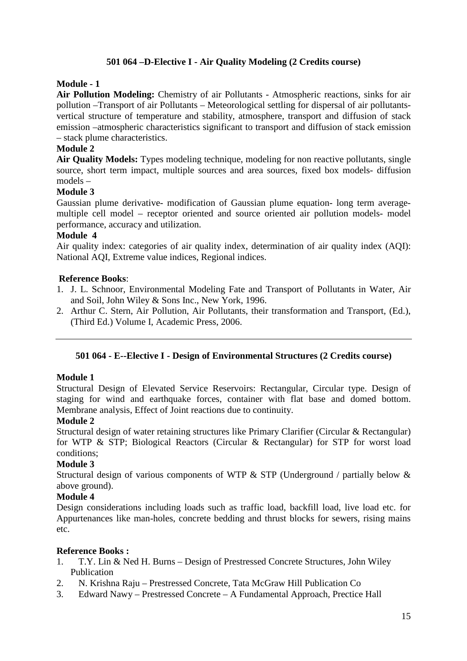## **501 064 –D-Elective I - Air Quality Modeling (2 Credits course)**

## **Module - 1**

**Air Pollution Modeling:** Chemistry of air Pollutants - Atmospheric reactions, sinks for air pollution –Transport of air Pollutants – Meteorological settling for dispersal of air pollutantsvertical structure of temperature and stability, atmosphere, transport and diffusion of stack emission –atmospheric characteristics significant to transport and diffusion of stack emission – stack plume characteristics.

## **Module 2**

**Air Quality Models:** Types modeling technique, modeling for non reactive pollutants, single source, short term impact, multiple sources and area sources, fixed box models- diffusion models –

## **Module 3**

Gaussian plume derivative- modification of Gaussian plume equation- long term averagemultiple cell model – receptor oriented and source oriented air pollution models- model performance, accuracy and utilization.

#### **Module 4**

Air quality index: categories of air quality index, determination of air quality index (AOI): National AQI, Extreme value indices, Regional indices.

#### **Reference Books**:

- 1. J. L. Schnoor, Environmental Modeling Fate and Transport of Pollutants in Water, Air and Soil, John Wiley & Sons Inc., New York, 1996.
- 2. Arthur C. Stern, Air Pollution, Air Pollutants, their transformation and Transport, (Ed.), (Third Ed.) Volume I, Academic Press, 2006.

#### **501 064 - E--Elective I - Design of Environmental Structures (2 Credits course)**

#### **Module 1**

Structural Design of Elevated Service Reservoirs: Rectangular, Circular type. Design of staging for wind and earthquake forces, container with flat base and domed bottom. Membrane analysis, Effect of Joint reactions due to continuity.

#### **Module 2**

Structural design of water retaining structures like Primary Clarifier (Circular & Rectangular) for WTP & STP; Biological Reactors (Circular & Rectangular) for STP for worst load conditions;

#### **Module 3**

Structural design of various components of WTP & STP (Underground / partially below & above ground).

#### **Module 4**

Design considerations including loads such as traffic load, backfill load, live load etc. for Appurtenances like man-holes, concrete bedding and thrust blocks for sewers, rising mains etc.

#### **Reference Books :**

- 1. T.Y. Lin & Ned H. Burns Design of Prestressed Concrete Structures, John Wiley Publication
- 2. N. Krishna Raju Prestressed Concrete, Tata McGraw Hill Publication Co
- 3. Edward Nawy Prestressed Concrete A Fundamental Approach, Prectice Hall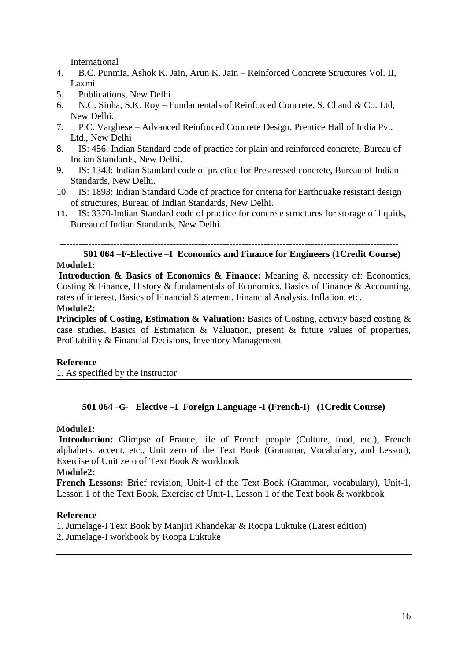International

- 4. B.C. Punmia, Ashok K. Jain, Arun K. Jain Reinforced Concrete Structures Vol. II, Laxmi
- 5. Publications, New Delhi
- 6. N.C. Sinha, S.K. Roy Fundamentals of Reinforced Concrete, S. Chand & Co. Ltd, New Delhi.
- 7. P.C. Varghese Advanced Reinforced Concrete Design, Prentice Hall of India Pvt. Ltd., New Delhi
- 8. IS: 456: Indian Standard code of practice for plain and reinforced concrete, Bureau of Indian Standards, New Delhi.
- 9. IS: 1343: Indian Standard code of practice for Prestressed concrete, Bureau of Indian Standards, New Delhi.
- 10. IS: 1893: Indian Standard Code of practice for criteria for Earthquake resistant design of structures, Bureau of Indian Standards, New Delhi.
- **11.** IS: 3370-Indian Standard code of practice for concrete structures for storage of liquids, Bureau of Indian Standards, New Delhi.

**------------------------------------------------------------------------------------------------------------** 

## **501 064 –F-Elective –I Economics and Finance for Engineers (1Credit Course) Module1:**

 **Introduction & Basics of Economics & Finance:** Meaning & necessity of: Economics, Costing & Finance, History & fundamentals of Economics, Basics of Finance & Accounting, rates of interest, Basics of Financial Statement, Financial Analysis, Inflation, etc.

## **Module2:**

**Principles of Costing, Estimation & Valuation:** Basics of Costing, activity based costing & case studies, Basics of Estimation & Valuation, present & future values of properties, Profitability & Financial Decisions, Inventory Management

#### **Reference**

1. As specified by the instructor

## **501 064 –G- Elective –I Foreign Language -I (French-I) (1Credit Course)**

#### **Module1:**

 **Introduction:** Glimpse of France, life of French people (Culture, food, etc.), French alphabets, accent, etc., Unit zero of the Text Book (Grammar, Vocabulary, and Lesson), Exercise of Unit zero of Text Book & workbook

#### **Module2:**

**French Lessons:** Brief revision, Unit-1 of the Text Book (Grammar, vocabulary), Unit-1, Lesson 1 of the Text Book, Exercise of Unit-1, Lesson 1 of the Text book & workbook

#### **Reference**

1. Jumelage-I Text Book by Manjiri Khandekar & Roopa Luktuke (Latest edition)

2. Jumelage-I workbook by Roopa Luktuke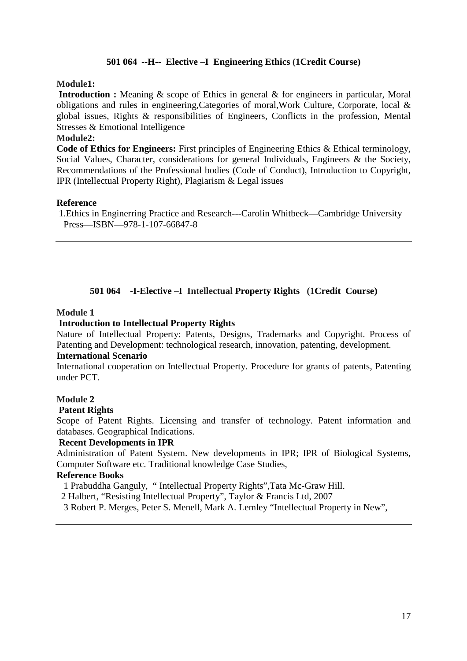## **501 064 --H-- Elective –I Engineering Ethics (1Credit Course)**

#### **Module1:**

**Introduction :** Meaning & scope of Ethics in general & for engineers in particular, Moral obligations and rules in engineering,Categories of moral,Work Culture, Corporate, local & global issues, Rights & responsibilities of Engineers, Conflicts in the profession, Mental Stresses & Emotional Intelligence

#### **Module2:**

**Code of Ethics for Engineers:** First principles of Engineering Ethics & Ethical terminology, Social Values, Character, considerations for general Individuals, Engineers & the Society, Recommendations of the Professional bodies (Code of Conduct), Introduction to Copyright, IPR (Intellectual Property Right), Plagiarism & Legal issues

#### **Reference**

1.Ethics in Enginerring Practice and Research---Carolin Whitbeck—Cambridge University Press—ISBN—978-1-107-66847-8

## **501 064 -I-Elective –I Intellectual Property Rights (1Credit Course)**

#### **Module 1**

#### **Introduction to Intellectual Property Rights**

Nature of Intellectual Property: Patents, Designs, Trademarks and Copyright. Process of Patenting and Development: technological research, innovation, patenting, development.

## **International Scenario**

International cooperation on Intellectual Property. Procedure for grants of patents, Patenting under PCT.

#### **Module 2**

#### **Patent Rights**

Scope of Patent Rights. Licensing and transfer of technology. Patent information and databases. Geographical Indications.

#### **Recent Developments in IPR**

Administration of Patent System. New developments in IPR; IPR of Biological Systems, Computer Software etc. Traditional knowledge Case Studies,

#### **Reference Books**

1 Prabuddha Ganguly, " Intellectual Property Rights",Tata Mc-Graw Hill.

- 2 Halbert, "Resisting Intellectual Property", Taylor & Francis Ltd, 2007
- 3 Robert P. Merges, Peter S. Menell, Mark A. Lemley "Intellectual Property in New",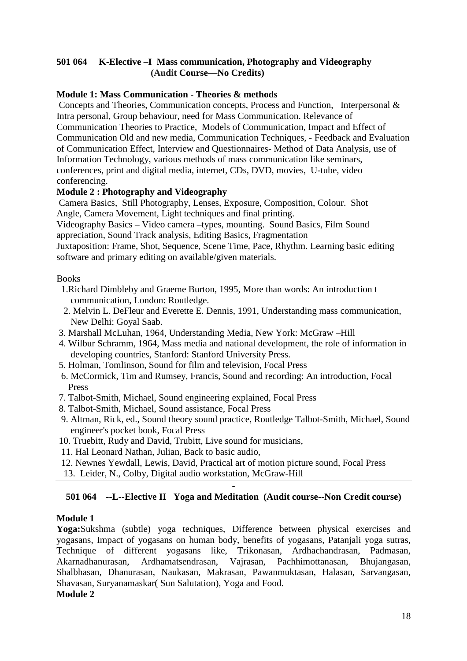## **501 064 K-Elective –I Mass communication, Photography and Videography (Audit Course—No Credits)**

## **Module 1: Mass Communication - Theories & methods**

 Concepts and Theories, Communication concepts, Process and Function, Interpersonal & Intra personal, Group behaviour, need for Mass Communication. Relevance of Communication Theories to Practice, Models of Communication, Impact and Effect of Communication Old and new media, Communication Techniques, - Feedback and Evaluation of Communication Effect, Interview and Questionnaires- Method of Data Analysis, use of Information Technology, various methods of mass communication like seminars, conferences, print and digital media, internet, CDs, DVD, movies, U-tube, video conferencing.

## **Module 2 : Photography and Videography**

 Camera Basics, Still Photography, Lenses, Exposure, Composition, Colour. Shot Angle, Camera Movement, Light techniques and final printing.

Videography Basics – Video camera –types, mounting. Sound Basics, Film Sound appreciation, Sound Track analysis, Editing Basics, Fragmentation

Juxtaposition: Frame, Shot, Sequence, Scene Time, Pace, Rhythm. Learning basic editing software and primary editing on available/given materials.

## Books

- 1.Richard Dimbleby and Graeme Burton, 1995, More than words: An introduction t communication, London: Routledge.
- 2. Melvin L. DeFleur and Everette E. Dennis, 1991, Understanding mass communication, New Delhi: Goyal Saab.
- 3. Marshall McLuhan, 1964, Understanding Media, New York: McGraw –Hill
- 4. Wilbur Schramm, 1964, Mass media and national development, the role of information in developing countries, Stanford: Stanford University Press.
- 5. Holman, Tomlinson, Sound for film and television, Focal Press
- 6. McCormick, Tim and Rumsey, Francis, Sound and recording: An introduction, Focal Press
- 7. Talbot-Smith, Michael, Sound engineering explained*,* Focal Press
- 8. Talbot-Smith, Michael, Sound assistance*,* Focal Press
- 9. Altman, Rick, ed., Sound theory sound practice*,* Routledge Talbot-Smith, Michael, Sound engineer's pocket book, Focal Press
- 10. Truebitt, Rudy and David, Trubitt, Live sound for musicians,
- 11. Hal Leonard Nathan, Julian, Back to basic audio,
- 12. Newnes Yewdall, Lewis, David, Practical art of motion picture sound, Focal Press
- 13. Leider, N., Colby, Digital audio workstation, McGraw-Hill

#### **- 501 064 --L--Elective II Yoga and Meditation (Audit course--Non Credit course)**

## **Module 1**

**Yoga:**Sukshma (subtle) yoga techniques, Difference between physical exercises and yogasans, Impact of yogasans on human body, benefits of yogasans, Patanjali yoga sutras, Technique of different yogasans like, Trikonasan, Ardhachandrasan, Padmasan, Akarnadhanurasan, Ardhamatsendrasan, Vajrasan, Pachhimottanasan, Bhujangasan, Shalbhasan, Dhanurasan, Naukasan, Makrasan, Pawanmuktasan, Halasan, Sarvangasan, Shavasan, Suryanamaskar( Sun Salutation), Yoga and Food. **Module 2**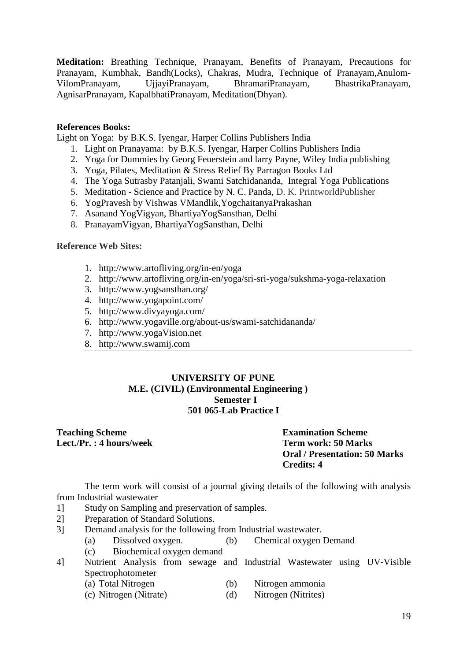**Meditation:** Breathing Technique, Pranayam, Benefits of Pranayam, Precautions for Pranayam, Kumbhak, Bandh(Locks), Chakras, Mudra, Technique of Pranayam,Anulom-VilomPranayam, UjjayiPranayam, BhramariPranayam, BhastrikaPranayam, AgnisarPranayam, KapalbhatiPranayam, Meditation(Dhyan).

#### **References Books:**

Light on Yoga: by B.K.S. Iyengar, Harper Collins Publishers India

- 1. Light on Pranayama: by B.K.S. Iyengar, Harper Collins Publishers India
- 2. Yoga for Dummies by Georg Feuerstein and larry Payne, Wiley India publishing
- 3. Yoga, Pilates, Meditation & Stress Relief By Parragon Books Ltd
- 4. The Yoga Sutrasby Patanjali, Swami Satchidananda, Integral Yoga Publications
- 5. Meditation Science and Practice by N. C. Panda, D. K. PrintworldPublisher
- 6. YogPravesh by Vishwas VMandlik,YogchaitanyaPrakashan
- 7. Asanand YogVigyan, BhartiyaYogSansthan, Delhi
- 8. PranayamVigyan, BhartiyaYogSansthan, Delhi

#### **Reference Web Sites:**

- 1. http://www.artofliving.org/in-en/yoga
- 2. http://www.artofliving.org/in-en/yoga/sri-sri-yoga/sukshma-yoga-relaxation
- 3. http://www.yogsansthan.org/
- 4. http://www.yogapoint.com/
- 5. http://www.divyayoga.com/
- 6. http://www.yogaville.org/about-us/swami-satchidananda/
- 7. http://www.yogaVision.net
- 8. http://www.swamij.com

## **UNIVERSITY OF PUNE M.E. (CIVIL) (Environmental Engineering ) Semester I 501 065-Lab Practice I**

## **Teaching Scheme Examination Scheme**  Lect./Pr. : 4 hours/week Term work: 50 Marks

**Oral / Presentation: 50 Marks Credits: 4** 

The term work will consist of a journal giving details of the following with analysis from Industrial wastewater

- 1] Study on Sampling and preservation of samples.
- 2] Preparation of Standard Solutions.
- 3] Demand analysis for the following from Industrial wastewater.
	- (a) Dissolved oxygen. (b) Chemical oxygen Demand
	- (c) Biochemical oxygen demand
- 4] Nutrient Analysis from sewage and Industrial Wastewater using UV-Visible Spectrophotometer<br>(a) Total Nitrogen
	- (a) Total Nitrogen (b) Nitrogen ammonia
	- (c) Nitrogen (Nitrate) (d) Nitrogen (Nitrites)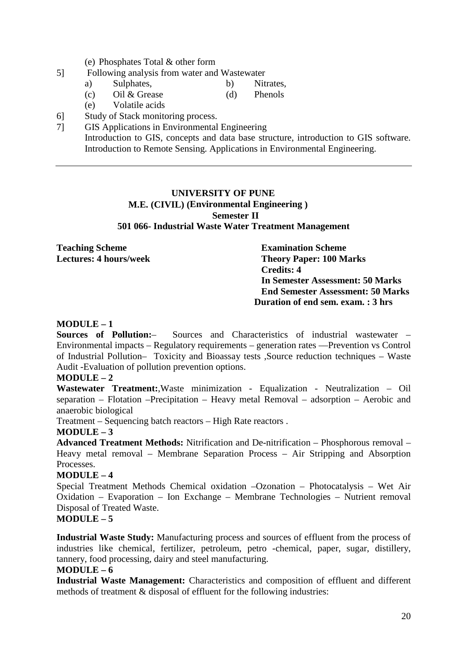- (e) Phosphates Total & other form
- 5] Following analysis from water and Wastewater
	- a) Sulphates, b) Nitrates,
	- (c) Oil & Grease (d) Phenols
	- (e) Volatile acids
- 6] Study of Stack monitoring process.
- 7] GIS Applications in Environmental Engineering Introduction to GIS, concepts and data base structure, introduction to GIS software. Introduction to Remote Sensing. Applications in Environmental Engineering.

## **UNIVERSITY OF PUNE M.E. (CIVIL) (Environmental Engineering ) Semester II 501 066- Industrial Waste Water Treatment Management**

**Teaching Scheme Examination Scheme** 

**Lectures: 4 hours/week Theory Paper: 100 Marks Credits: 4 In Semester Assessment: 50 Marks End Semester Assessment: 50 Marks Duration of end sem. exam. : 3 hrs** 

#### **MODULE – 1**

**Sources of Pollution:**– Sources and Characteristics of industrial wastewater – Environmental impacts – Regulatory requirements – generation rates ––Prevention vs Control of Industrial Pollution– Toxicity and Bioassay tests ,Source reduction techniques – Waste Audit -Evaluation of pollution prevention options.

#### **MODULE – 2**

**Wastewater Treatment:**,Waste minimization - Equalization - Neutralization – Oil separation – Flotation –Precipitation – Heavy metal Removal – adsorption – Aerobic and anaerobic biological

Treatment – Sequencing batch reactors – High Rate reactors .

#### **MODULE – 3**

**Advanced Treatment Methods:** Nitrification and De-nitrification – Phosphorous removal – Heavy metal removal – Membrane Separation Process – Air Stripping and Absorption Processes.

#### **MODULE – 4**

Special Treatment Methods Chemical oxidation –Ozonation – Photocatalysis – Wet Air Oxidation – Evaporation – Ion Exchange – Membrane Technologies – Nutrient removal Disposal of Treated Waste.

## **MODULE – 5**

**Industrial Waste Study:** Manufacturing process and sources of effluent from the process of industries like chemical, fertilizer, petroleum, petro -chemical, paper, sugar, distillery, tannery, food processing, dairy and steel manufacturing.

## **MODULE – 6**

**Industrial Waste Management:** Characteristics and composition of effluent and different methods of treatment & disposal of effluent for the following industries: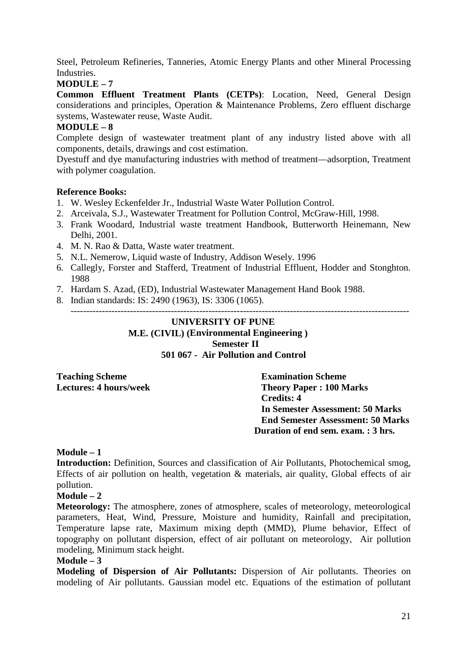Steel, Petroleum Refineries, Tanneries, Atomic Energy Plants and other Mineral Processing Industries.

## **MODULE – 7**

**Common Effluent Treatment Plants (CETPs)**: Location, Need, General Design considerations and principles, Operation & Maintenance Problems, Zero effluent discharge systems, Wastewater reuse, Waste Audit.

## **MODULE – 8**

Complete design of wastewater treatment plant of any industry listed above with all components, details, drawings and cost estimation.

Dyestuff and dye manufacturing industries with method of treatment—adsorption, Treatment with polymer coagulation.

#### **Reference Books:**

- 1. W. Wesley Eckenfelder Jr., Industrial Waste Water Pollution Control.
- 2. Arceivala, S.J., Wastewater Treatment for Pollution Control, McGraw-Hill, 1998.
- 3. Frank Woodard, Industrial waste treatment Handbook, Butterworth Heinemann, New Delhi, 2001.
- 4. M. N. Rao & Datta, Waste water treatment.
- 5. N.L. Nemerow, Liquid waste of Industry, Addison Wesely. 1996
- 6. Callegly, Forster and Stafferd, Treatment of Industrial Effluent, Hodder and Stonghton. 1988
- 7. Hardam S. Azad, (ED), Industrial Wastewater Management Hand Book 1988.
- 8. Indian standards: IS: 2490 (1963), IS: 3306 (1065).

------------------------------------------------------------------------------------------------------------

## **UNIVERSITY OF PUNE M.E. (CIVIL) (Environmental Engineering ) Semester II 501 067 - Air Pollution and Control**

**Teaching Scheme Examination Scheme** 

**Lectures: 4 hours/week Theory Paper : 100 Marks Credits: 4 In Semester Assessment: 50 Marks End Semester Assessment: 50 Marks Duration of end sem. exam. : 3 hrs.** 

#### **Module – 1**

**Introduction:** Definition, Sources and classification of Air Pollutants, Photochemical smog, Effects of air pollution on health, vegetation & materials, air quality, Global effects of air pollution.

#### **Module – 2**

**Meteorology:** The atmosphere, zones of atmosphere, scales of meteorology, meteorological parameters, Heat, Wind, Pressure, Moisture and humidity, Rainfall and precipitation, Temperature lapse rate, Maximum mixing depth (MMD), Plume behavior, Effect of topography on pollutant dispersion, effect of air pollutant on meteorology, Air pollution modeling, Minimum stack height.

#### **Module – 3**

**Modeling of Dispersion of Air Pollutants:** Dispersion of Air pollutants. Theories on modeling of Air pollutants. Gaussian model etc. Equations of the estimation of pollutant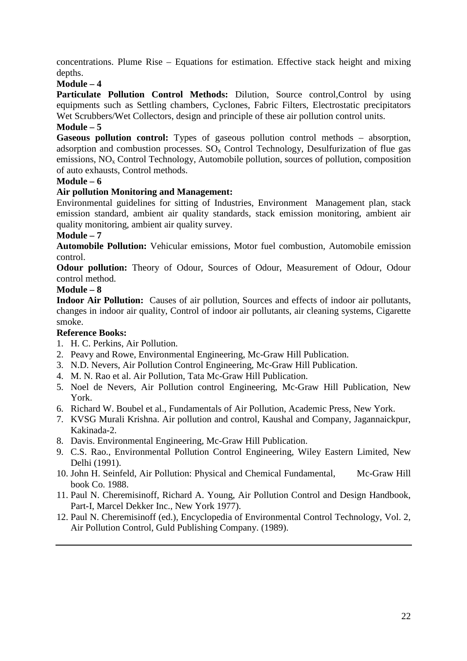concentrations. Plume Rise – Equations for estimation. Effective stack height and mixing depths.

## **Module – 4**

**Particulate Pollution Control Methods:** Dilution, Source control,Control by using equipments such as Settling chambers, Cyclones, Fabric Filters, Electrostatic precipitators Wet Scrubbers/Wet Collectors, design and principle of these air pollution control units.

## **Module – 5**

**Gaseous pollution control:** Types of gaseous pollution control methods – absorption, adsorption and combustion processes.  $SO_x$  Control Technology, Desulfurization of flue gas emissions,  $NO<sub>x</sub>$  Control Technology, Automobile pollution, sources of pollution, composition of auto exhausts, Control methods.

## **Module – 6**

## **Air pollution Monitoring and Management:**

Environmental guidelines for sitting of Industries, Environment Management plan, stack emission standard, ambient air quality standards, stack emission monitoring, ambient air quality monitoring, ambient air quality survey.

## **Module – 7**

**Automobile Pollution:** Vehicular emissions, Motor fuel combustion, Automobile emission control.

**Odour pollution:** Theory of Odour, Sources of Odour, Measurement of Odour, Odour control method.

## **Module – 8**

**Indoor Air Pollution:** Causes of air pollution, Sources and effects of indoor air pollutants, changes in indoor air quality, Control of indoor air pollutants, air cleaning systems, Cigarette smoke.

## **Reference Books:**

- 1. H. C. Perkins, Air Pollution.
- 2. Peavy and Rowe, Environmental Engineering, Mc-Graw Hill Publication.
- 3. N.D. Nevers, Air Pollution Control Engineering, Mc-Graw Hill Publication.
- 4. M. N. Rao et al. Air Pollution, Tata Mc-Graw Hill Publication.
- 5. Noel de Nevers, Air Pollution control Engineering, Mc-Graw Hill Publication, New York.
- 6. Richard W. Boubel et al., Fundamentals of Air Pollution, Academic Press, New York.
- 7. KVSG Murali Krishna. Air pollution and control, Kaushal and Company, Jagannaickpur, Kakinada-2.
- 8. Davis. Environmental Engineering, Mc-Graw Hill Publication.
- 9. C.S. Rao., Environmental Pollution Control Engineering, Wiley Eastern Limited, New Delhi (1991).
- 10. John H. Seinfeld, Air Pollution: Physical and Chemical Fundamental, Mc-Graw Hill book Co. 1988.
- 11. Paul N. Cheremisinoff, Richard A. Young, Air Pollution Control and Design Handbook, Part-I, Marcel Dekker Inc., New York 1977).
- 12. Paul N. Cheremisinoff (ed.), Encyclopedia of Environmental Control Technology, Vol. 2, Air Pollution Control, Guld Publishing Company. (1989).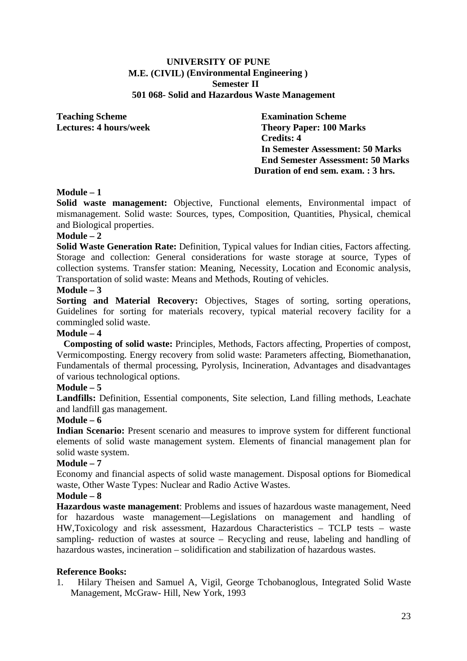#### **UNIVERSITY OF PUNE M.E. (CIVIL) (Environmental Engineering ) Semester II 501 068- Solid and Hazardous Waste Management**

**Teaching Scheme Examination Scheme** 

**Lectures: 4 hours/week Theory Paper: 100 Marks Credits: 4 In Semester Assessment: 50 Marks End Semester Assessment: 50 Marks Duration of end sem. exam. : 3 hrs.** 

## **Module – 1**

Solid waste management: Objective, Functional elements, Environmental impact of mismanagement. Solid waste: Sources, types, Composition, Quantities, Physical, chemical and Biological properties.

## **Module – 2**

**Solid Waste Generation Rate:** Definition, Typical values for Indian cities, Factors affecting. Storage and collection: General considerations for waste storage at source, Types of collection systems. Transfer station: Meaning, Necessity, Location and Economic analysis, Transportation of solid waste: Means and Methods, Routing of vehicles.

#### **Module – 3**

**Sorting and Material Recovery:** Objectives, Stages of sorting, sorting operations, Guidelines for sorting for materials recovery, typical material recovery facility for a commingled solid waste.

#### **Module – 4**

 **Composting of solid waste:** Principles, Methods, Factors affecting, Properties of compost, Vermicomposting. Energy recovery from solid waste: Parameters affecting, Biomethanation, Fundamentals of thermal processing, Pyrolysis, Incineration, Advantages and disadvantages of various technological options.

#### **Module – 5**

**Landfills:** Definition, Essential components, Site selection, Land filling methods, Leachate and landfill gas management.

#### **Module – 6**

**Indian Scenario:** Present scenario and measures to improve system for different functional elements of solid waste management system. Elements of financial management plan for solid waste system.

#### **Module – 7**

Economy and financial aspects of solid waste management. Disposal options for Biomedical waste, Other Waste Types: Nuclear and Radio Active Wastes.

#### **Module – 8**

**Hazardous waste management**: Problems and issues of hazardous waste management, Need for hazardous waste management—Legislations on management and handling of HW,Toxicology and risk assessment, Hazardous Characteristics – TCLP tests – waste sampling- reduction of wastes at source – Recycling and reuse, labeling and handling of hazardous wastes, incineration – solidification and stabilization of hazardous wastes.

#### **Reference Books:**

1. Hilary Theisen and Samuel A, Vigil, George Tchobanoglous, Integrated Solid Waste Management, McGraw- Hill, New York, 1993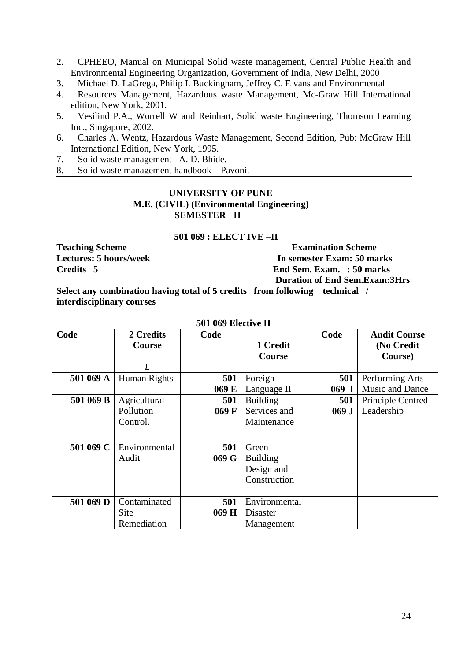- 2. CPHEEO, Manual on Municipal Solid waste management, Central Public Health and Environmental Engineering Organization, Government of India, New Delhi, 2000
- 3. Michael D. LaGrega, Philip L Buckingham, Jeffrey C. E vans and Environmental
- 4. Resources Management, Hazardous waste Management, Mc-Graw Hill International edition, New York, 2001.
- 5. Vesilind P.A., Worrell W and Reinhart, Solid waste Engineering, Thomson Learning Inc., Singapore, 2002.
- 6. Charles A. Wentz, Hazardous Waste Management, Second Edition, Pub: McGraw Hill International Edition, New York, 1995.
- 7. Solid waste management –A. D. Bhide.
- 8. Solid waste management handbook Pavoni.

## **UNIVERSITY OF PUNE M.E. (CIVIL) (Environmental Engineering) SEMESTER II**

#### **501 069 : ELECT IVE –II**

**Teaching Scheme Examination Scheme Lectures: 5 hours/week In semester Exam: 50 marks Credits 5 End Sem. Exam. : 50 marks Duration of End Sem.Exam:3Hrs** 

**Select any combination having total of 5 credits from following technical / interdisciplinary courses** 

|           |               | JVI VVZ EKURUTU II |                 |         |                     |
|-----------|---------------|--------------------|-----------------|---------|---------------------|
| Code      | 2 Credits     | Code               |                 | Code    | <b>Audit Course</b> |
|           | <b>Course</b> |                    | 1 Credit        |         | (No Credit          |
|           |               |                    | <b>Course</b>   |         | Course)             |
|           | L             |                    |                 |         |                     |
| 501 069 A | Human Rights  | 501                | Foreign         | 501     | Performing Arts -   |
|           |               | 069 E              | Language II     | $069$ I | Music and Dance     |
| 501 069 B | Agricultural  | 501                | <b>Building</b> | 501     | Principle Centred   |
|           | Pollution     | 069 F              | Services and    | 069J    | Leadership          |
|           | Control.      |                    | Maintenance     |         |                     |
|           |               |                    |                 |         |                     |
| 501 069 C | Environmental | 501                | Green           |         |                     |
|           | Audit         | 069 G              | <b>Building</b> |         |                     |
|           |               |                    | Design and      |         |                     |
|           |               |                    | Construction    |         |                     |
|           |               |                    |                 |         |                     |
| 501 069 D | Contaminated  | 501                | Environmental   |         |                     |
|           | Site          | 069 H              | Disaster        |         |                     |
|           | Remediation   |                    | Management      |         |                     |

**501 069 Elective II**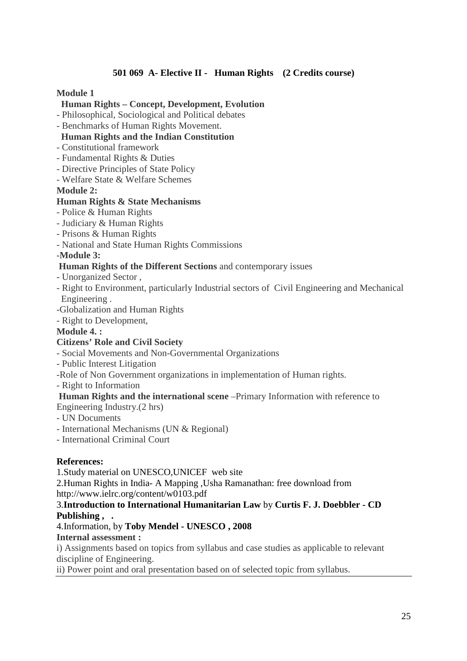## **501 069 A- Elective II - Human Rights (2 Credits course)**

#### **Module 1**

#### **Human Rights – Concept, Development, Evolution**

- Philosophical, Sociological and Political debates
- Benchmarks of Human Rights Movement.

## **Human Rights and the Indian Constitution**

- Constitutional framework
- Fundamental Rights & Duties
- Directive Principles of State Policy
- Welfare State & Welfare Schemes
- **Module 2:**

## **Human Rights & State Mechanisms**

- Police & Human Rights
- Judiciary & Human Rights
- Prisons & Human Rights
- National and State Human Rights Commissions

## -**Module 3:**

## **Human Rights of the Different Sections** and contemporary issues

- Unorganized Sector ,
- Right to Environment, particularly Industrial sectors of Civil Engineering and Mechanical Engineering .
- -Globalization and Human Rights
- Right to Development,

## **Module 4. :**

## **Citizens' Role and Civil Society**

- Social Movements and Non-Governmental Organizations
- Public Interest Litigation
- -Role of Non Government organizations in implementation of Human rights.
- Right to Information

#### **Human Rights and the international scene** –Primary Information with reference to Engineering Industry.(2 hrs)

- UN Documents
- International Mechanisms (UN & Regional)
- International Criminal Court

## **References:**

1.Study material on UNESCO,UNICEF web site

2.Human Rights in India- A Mapping ,Usha Ramanathan: free download from http://www.ielrc.org/content/w0103.pdf

## 3.**Introduction to International Humanitarian Law** by **Curtis F. J. Doebbler - CD Publishing , .**

## 4.Information, by **Toby Mendel - UNESCO , 2008**

#### **Internal assessment :**

i) Assignments based on topics from syllabus and case studies as applicable to relevant discipline of Engineering.

ii) Power point and oral presentation based on of selected topic from syllabus.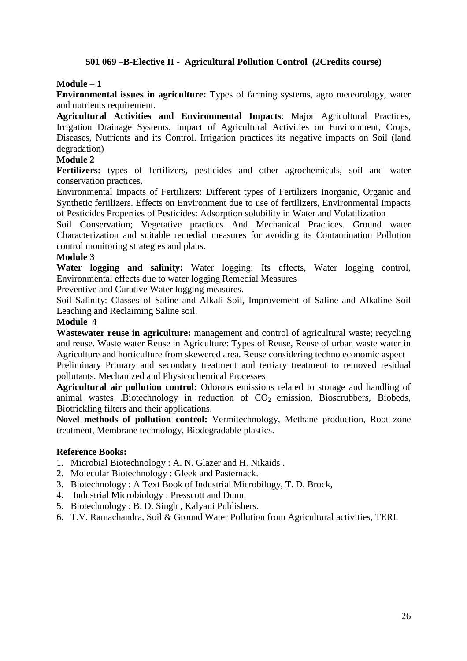## **501 069 –B-Elective II - Agricultural Pollution Control (2Credits course)**

#### **Module – 1**

**Environmental issues in agriculture:** Types of farming systems, agro meteorology, water and nutrients requirement.

**Agricultural Activities and Environmental Impacts**: Major Agricultural Practices, Irrigation Drainage Systems, Impact of Agricultural Activities on Environment, Crops, Diseases, Nutrients and its Control. Irrigation practices its negative impacts on Soil (land degradation)

#### **Module 2**

**Fertilizers:** types of fertilizers, pesticides and other agrochemicals, soil and water conservation practices.

Environmental Impacts of Fertilizers: Different types of Fertilizers Inorganic, Organic and Synthetic fertilizers. Effects on Environment due to use of fertilizers, Environmental Impacts of Pesticides Properties of Pesticides: Adsorption solubility in Water and Volatilization

Soil Conservation; Vegetative practices And Mechanical Practices. Ground water Characterization and suitable remedial measures for avoiding its Contamination Pollution control monitoring strategies and plans.

#### **Module 3**

**Water logging and salinity:** Water logging: Its effects, Water logging control, Environmental effects due to water logging Remedial Measures

Preventive and Curative Water logging measures.

Soil Salinity: Classes of Saline and Alkali Soil, Improvement of Saline and Alkaline Soil Leaching and Reclaiming Saline soil.

#### **Module 4**

**Wastewater reuse in agriculture:** management and control of agricultural waste; recycling and reuse. Waste water Reuse in Agriculture: Types of Reuse, Reuse of urban waste water in Agriculture and horticulture from skewered area. Reuse considering techno economic aspect

Preliminary Primary and secondary treatment and tertiary treatment to removed residual pollutants. Mechanized and Physicochemical Processes

**Agricultural air pollution control:** Odorous emissions related to storage and handling of animal wastes .Biotechnology in reduction of  $CO<sub>2</sub>$  emission, Bioscrubbers, Biobeds, Biotrickling filters and their applications.

**Novel methods of pollution control:** Vermitechnology, Methane production, Root zone treatment, Membrane technology, Biodegradable plastics.

#### **Reference Books:**

- 1. Microbial Biotechnology : A. N. Glazer and H. Nikaids .
- 2. Molecular Biotechnology : Gleek and Pasternack.
- 3. Biotechnology : A Text Book of Industrial Microbilogy, T. D. Brock,
- 4. Industrial Microbiology : Presscott and Dunn.
- 5. Biotechnology : B. D. Singh , Kalyani Publishers.
- 6. T.V. Ramachandra, Soil & Ground Water Pollution from Agricultural activities, TERI.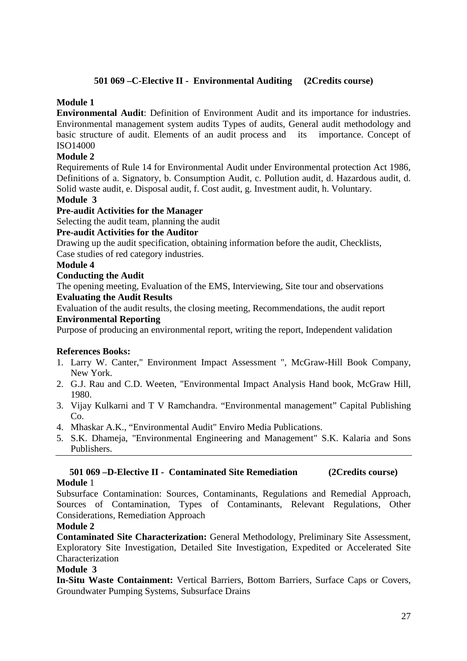## **501 069 –C-Elective II - Environmental Auditing (2Credits course)**

## **Module 1**

**Environmental Audit**: Definition of Environment Audit and its importance for industries. Environmental management system audits Types of audits, General audit methodology and basic structure of audit. Elements of an audit process and its importance. Concept of ISO14000

## **Module 2**

Requirements of Rule 14 for Environmental Audit under Environmental protection Act 1986, Definitions of a. Signatory, b. Consumption Audit, c. Pollution audit, d. Hazardous audit, d. Solid waste audit, e. Disposal audit, f. Cost audit, g. Investment audit, h. Voluntary.

#### **Module 3**

## **Pre-audit Activities for the Manager**

Selecting the audit team, planning the audit

#### **Pre-audit Activities for the Auditor**

Drawing up the audit specification, obtaining information before the audit, Checklists, Case studies of red category industries.

#### **Module 4**

#### **Conducting the Audit**

The opening meeting, Evaluation of the EMS, Interviewing, Site tour and observations **Evaluating the Audit Results** 

Evaluation of the audit results, the closing meeting, Recommendations, the audit report **Environmental Reporting** 

Purpose of producing an environmental report, writing the report, Independent validation

## **References Books:**

- 1. Larry W. Canter," Environment Impact Assessment ", McGraw-Hill Book Company, New York.
- 2. G.J. Rau and C.D. Weeten, "Environmental Impact Analysis Hand book, McGraw Hill, 1980.
- 3. Vijay Kulkarni and T V Ramchandra. "Environmental management" Capital Publishing Co.
- 4. Mhaskar A.K., "Environmental Audit" Enviro Media Publications.
- 5. S.K. Dhameja, "Environmental Engineering and Management" S.K. Kalaria and Sons Publishers.

#### **501 069 –D-Elective II - Contaminated Site Remediation (2Credits course) Module** 1

Subsurface Contamination: Sources, Contaminants, Regulations and Remedial Approach, Sources of Contamination, Types of Contaminants, Relevant Regulations, Other Considerations, Remediation Approach

## **Module 2**

**Contaminated Site Characterization:** General Methodology, Preliminary Site Assessment, Exploratory Site Investigation, Detailed Site Investigation, Expedited or Accelerated Site Characterization

#### **Module 3**

**In-Situ Waste Containment:** Vertical Barriers, Bottom Barriers, Surface Caps or Covers, Groundwater Pumping Systems, Subsurface Drains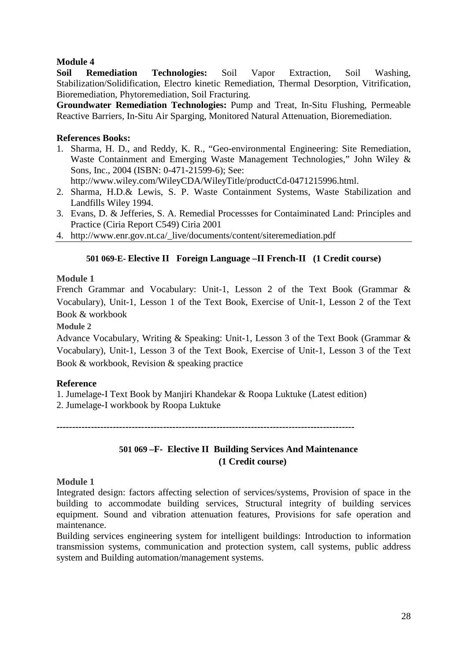## **Module 4**

**Soil Remediation Technologies:** Soil Vapor Extraction, Soil Washing, Stabilization/Solidification, Electro kinetic Remediation, Thermal Desorption, Vitrification, Bioremediation, Phytoremediation, Soil Fracturing.

**Groundwater Remediation Technologies:** Pump and Treat, In-Situ Flushing, Permeable Reactive Barriers, In-Situ Air Sparging, Monitored Natural Attenuation, Bioremediation.

## **References Books:**

1. Sharma, H. D., and Reddy, K. R., "Geo-environmental Engineering: Site Remediation, Waste Containment and Emerging Waste Management Technologies," John Wiley & Sons, Inc., 2004 (ISBN: 0-471-21599-6); See:

http://www.wiley.com/WileyCDA/WileyTitle/productCd-0471215996.html.

- 2. Sharma, H.D.& Lewis, S. P. Waste Containment Systems, Waste Stabilization and Landfills Wiley 1994.
- 3. Evans, D. & Jefferies, S. A. Remedial Processses for Contaiminated Land: Principles and Practice (Ciria Report C549) Ciria 2001
- 4. http://www.enr.gov.nt.ca/\_live/documents/content/siteremediation.pdf

## **501 069-E- Elective II Foreign Language –II French-II (1 Credit course)**

## **Module 1**

French Grammar and Vocabulary: Unit-1, Lesson 2 of the Text Book (Grammar & Vocabulary), Unit-1, Lesson 1 of the Text Book, Exercise of Unit-1, Lesson 2 of the Text Book & workbook

#### **Module 2**

Advance Vocabulary, Writing & Speaking: Unit-1, Lesson 3 of the Text Book (Grammar & Vocabulary), Unit-1, Lesson 3 of the Text Book, Exercise of Unit-1, Lesson 3 of the Text Book & workbook, Revision & speaking practice

#### **Reference**

1. Jumelage-I Text Book by Manjiri Khandekar & Roopa Luktuke (Latest edition)

2. Jumelage-I workbook by Roopa Luktuke

**-----------------------------------------------------------------------------------------------** 

## **501 069 –F- Elective II Building Services And Maintenance (1 Credit course)**

#### **Module 1**

Integrated design: factors affecting selection of services/systems, Provision of space in the building to accommodate building services, Structural integrity of building services equipment. Sound and vibration attenuation features, Provisions for safe operation and maintenance.

Building services engineering system for intelligent buildings: Introduction to information transmission systems, communication and protection system, call systems, public address system and Building automation/management systems.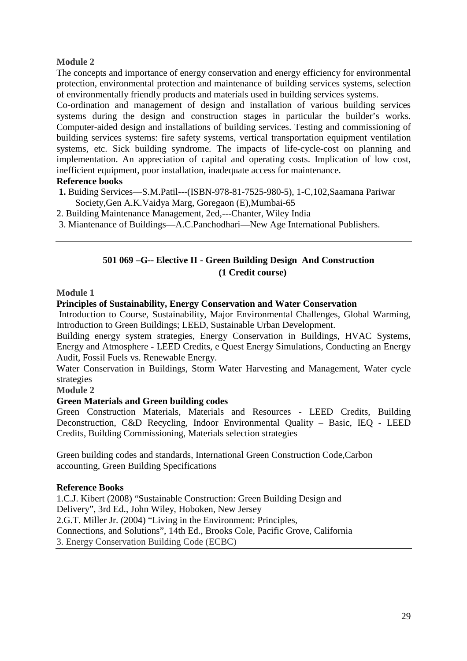## **Module 2**

The concepts and importance of energy conservation and energy efficiency for environmental protection, environmental protection and maintenance of building services systems, selection of environmentally friendly products and materials used in building services systems.

Co-ordination and management of design and installation of various building services systems during the design and construction stages in particular the builder's works. Computer-aided design and installations of building services. Testing and commissioning of building services systems: fire safety systems, vertical transportation equipment ventilation systems, etc. Sick building syndrome. The impacts of life-cycle-cost on planning and implementation. An appreciation of capital and operating costs. Implication of low cost, inefficient equipment, poor installation, inadequate access for maintenance.

## **Reference books**

- **1.** Buiding Services—S.M.Patil---(ISBN-978-81-7525-980-5), 1-C,102,Saamana Pariwar Society,Gen A.K.Vaidya Marg, Goregaon (E),Mumbai-65
- 2. Building Maintenance Management, 2ed,---Chanter, Wiley India
- 3. Miantenance of Buildings—A.C.Panchodhari—New Age International Publishers.

## **501 069 –G-- Elective II - Green Building Design And Construction (1 Credit course)**

#### **Module 1**

## **Principles of Sustainability, Energy Conservation and Water Conservation**

 Introduction to Course, Sustainability, Major Environmental Challenges, Global Warming, Introduction to Green Buildings; LEED, Sustainable Urban Development.

Building energy system strategies, Energy Conservation in Buildings, HVAC Systems, Energy and Atmosphere - LEED Credits, e Quest Energy Simulations, Conducting an Energy Audit, Fossil Fuels vs. Renewable Energy.

Water Conservation in Buildings, Storm Water Harvesting and Management, Water cycle strategies

#### **Module 2**

## **Green Materials and Green building codes**

Green Construction Materials, Materials and Resources - LEED Credits, Building Deconstruction, C&D Recycling, Indoor Environmental Quality – Basic, IEQ - LEED Credits, Building Commissioning, Materials selection strategies

Green building codes and standards, International Green Construction Code,Carbon accounting, Green Building Specifications

#### **Reference Books**

1.C.J. Kibert (2008) "Sustainable Construction: Green Building Design and Delivery", 3rd Ed., John Wiley, Hoboken, New Jersey 2.G.T. Miller Jr. (2004) "Living in the Environment: Principles, Connections, and Solutions", 14th Ed., Brooks Cole, Pacific Grove, California 3. Energy Conservation Building Code (ECBC)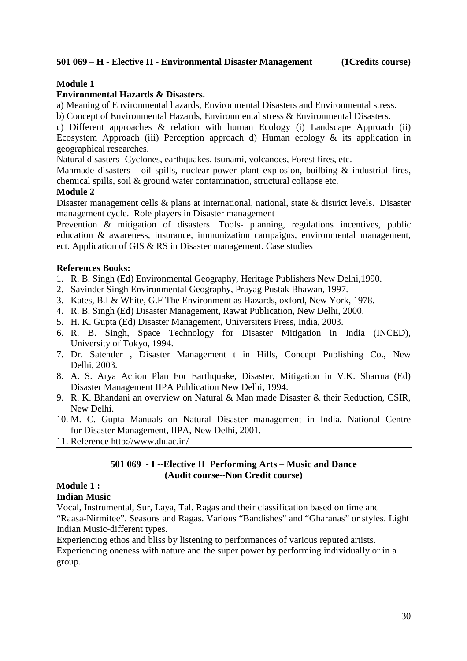## **501 069 – H - Elective II - Environmental Disaster Management (1Credits course)**

## **Module 1**

#### **Environmental Hazards & Disasters.**

a) Meaning of Environmental hazards, Environmental Disasters and Environmental stress.

b) Concept of Environmental Hazards, Environmental stress & Environmental Disasters.

c) Different approaches & relation with human Ecology (i) Landscape Approach (ii) Ecosystem Approach (iii) Perception approach d) Human ecology  $\&$  its application in geographical researches.

Natural disasters -Cyclones, earthquakes, tsunami, volcanoes, Forest fires, etc.

Manmade disasters - oil spills, nuclear power plant explosion, builbing & industrial fires, chemical spills, soil & ground water contamination, structural collapse etc.

#### **Module 2**

Disaster management cells & plans at international, national, state & district levels. Disaster management cycle. Role players in Disaster management

Prevention & mitigation of disasters. Tools- planning, regulations incentives, public education & awareness, insurance, immunization campaigns, environmental management, ect. Application of GIS & RS in Disaster management. Case studies

## **References Books:**

- 1. R. B. Singh (Ed) Environmental Geography, Heritage Publishers New Delhi,1990.
- 2. Savinder Singh Environmental Geography, Prayag Pustak Bhawan, 1997.
- 3. Kates, B.I & White, G.F The Environment as Hazards, oxford, New York, 1978.
- 4. R. B. Singh (Ed) Disaster Management, Rawat Publication, New Delhi, 2000.
- 5. H. K. Gupta (Ed) Disaster Management, Universiters Press, India, 2003.
- 6. R. B. Singh, Space Technology for Disaster Mitigation in India (INCED), University of Tokyo, 1994.
- 7. Dr. Satender , Disaster Management t in Hills, Concept Publishing Co., New Delhi, 2003.
- 8. A. S. Arya Action Plan For Earthquake, Disaster, Mitigation in V.K. Sharma (Ed) Disaster Management IIPA Publication New Delhi, 1994.
- 9. R. K. Bhandani an overview on Natural & Man made Disaster & their Reduction, CSIR, New Delhi.
- 10. M. C. Gupta Manuals on Natural Disaster management in India, National Centre for Disaster Management, IIPA, New Delhi, 2001.
- 11. Reference http://www.du.ac.in/

#### **501 069 - I --Elective II Performing Arts – Music and Dance (Audit course--Non Credit course)**

## **Module 1 :**

#### **Indian Music**

Vocal, Instrumental, Sur, Laya, Tal. Ragas and their classification based on time and "Raasa-Nirmitee". Seasons and Ragas. Various "Bandishes" and "Gharanas" or styles. Light Indian Music-different types.

Experiencing ethos and bliss by listening to performances of various reputed artists. Experiencing oneness with nature and the super power by performing individually or in a group.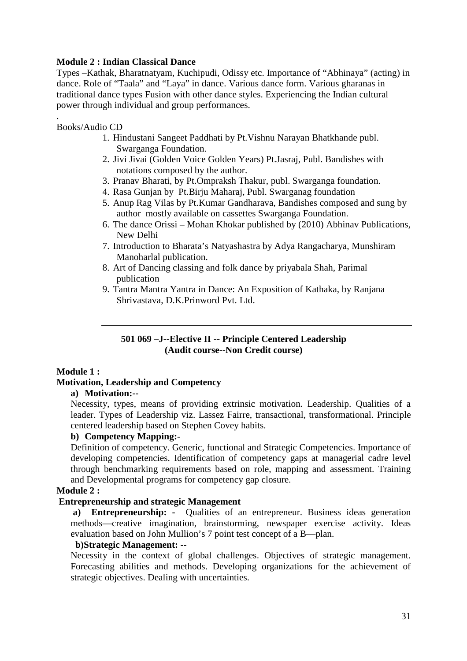#### **Module 2 : Indian Classical Dance**

Types –Kathak, Bharatnatyam, Kuchipudi, Odissy etc. Importance of "Abhinaya" (acting) in dance. Role of "Taala" and "Laya" in dance. Various dance form. Various gharanas in traditional dance types Fusion with other dance styles. Experiencing the Indian cultural power through individual and group performances.

Books/Audio CD

.

- 1. Hindustani Sangeet Paddhati by Pt.Vishnu Narayan Bhatkhande publ. Swarganga Foundation.
- 2. Jivi Jivai (Golden Voice Golden Years) Pt.Jasraj, Publ. Bandishes with notations composed by the author.
- 3. Pranav Bharati, by Pt.Ompraksh Thakur, publ. Swarganga foundation.
- 4. Rasa Gunjan by Pt.Birju Maharaj, Publ. Swarganag foundation
- 5. Anup Rag Vilas by Pt.Kumar Gandharava, Bandishes composed and sung by author mostly available on cassettes Swarganga Foundation.
- 6. The dance Orissi Mohan Khokar published by (2010) Abhinav Publications, New Delhi
- 7. Introduction to Bharata's Natyashastra by Adya Rangacharya, Munshiram Manoharlal publication.
- 8. Art of Dancing classing and folk dance by priyabala Shah, Parimal publication
- 9. Tantra Mantra Yantra in Dance: An Exposition of Kathaka, by Ranjana Shrivastava, D.K.Prinword Pvt. Ltd.

## **501 069 –J--Elective II -- Principle Centered Leadership (Audit course--Non Credit course)**

## **Module 1 :**

## **Motivation, Leadership and Competency**

#### **a) Motivation:--**

Necessity, types, means of providing extrinsic motivation. Leadership. Qualities of a leader. Types of Leadership viz. Lassez Fairre, transactional, transformational. Principle centered leadership based on Stephen Covey habits.

#### **b) Competency Mapping:-**

Definition of competency. Generic, functional and Strategic Competencies. Importance of developing competencies. Identification of competency gaps at managerial cadre level through benchmarking requirements based on role, mapping and assessment. Training and Developmental programs for competency gap closure.

#### **Module 2 :**

#### **Entrepreneurship and strategic Management**

 **a) Entrepreneurship: -** Qualities of an entrepreneur. Business ideas generation methods—creative imagination, brainstorming, newspaper exercise activity. Ideas evaluation based on John Mullion's 7 point test concept of a B—plan.

### **b)Strategic Management: --**

Necessity in the context of global challenges. Objectives of strategic management. Forecasting abilities and methods. Developing organizations for the achievement of strategic objectives. Dealing with uncertainties.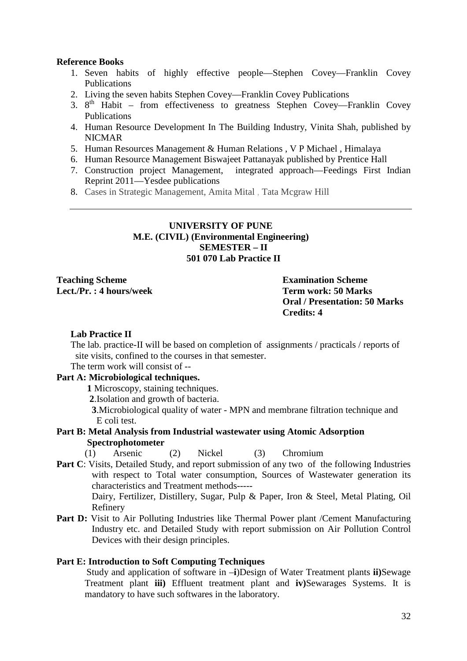#### **Reference Books**

- 1. Seven habits of highly effective people—Stephen Covey—Franklin Covey Publications
- 2. Living the seven habits Stephen Covey—Franklin Covey Publications
- 3. 8<sup>th</sup> Habit from effectiveness to greatness Stephen Covey—Franklin Covey Publications
- 4. Human Resource Development In The Building Industry, Vinita Shah, published by NICMAR
- 5. Human Resources Management & Human Relations , V P Michael , Himalaya
- 6. Human Resource Management Biswajeet Pattanayak published by Prentice Hall
- 7. Construction project Management, integrated approach—Feedings First Indian Reprint 2011—Yesdee publications
- 8. Cases in Strategic Management, Amita Mital , Tata Mcgraw Hill

#### **UNIVERSITY OF PUNE M.E. (CIVIL) (Environmental Engineering) SEMESTER – II 501 070 Lab Practice II**

**Teaching Scheme Examination Scheme Lect./Pr. : 4 hours/week Term work: 50 Marks** 

**Oral / Presentation: 50 Marks Credits: 4** 

#### **Lab Practice II**

The lab. practice-II will be based on completion of assignments / practicals / reports of site visits, confined to the courses in that semester.

The term work will consist of --

## **Part A: Microbiological techniques.**

 **1** Microscopy, staining techniques.

**2**.Isolation and growth of bacteria.

 **3**.Microbiological quality of water - MPN and membrane filtration technique and E coli test.

#### **Part B: Metal Analysis from Industrial wastewater using Atomic Adsorption Spectrophotometer**

(1) Arsenic (2) Nickel (3) Chromium

**Part C**: Visits, Detailed Study, and report submission of any two of the following Industries with respect to Total water consumption, Sources of Wastewater generation its characteristics and Treatment methods-----

Dairy, Fertilizer, Distillery, Sugar, Pulp & Paper, Iron & Steel, Metal Plating, Oil Refinery

Part D: Visit to Air Polluting Industries like Thermal Power plant /Cement Manufacturing Industry etc. and Detailed Study with report submission on Air Pollution Control Devices with their design principles.

#### **Part E: Introduction to Soft Computing Techniques**

Study and application of software in –**i**)Design of Water Treatment plants **ii)**Sewage Treatment plant **iii)** Effluent treatment plant and **iv)**Sewarages Systems. It is mandatory to have such softwares in the laboratory.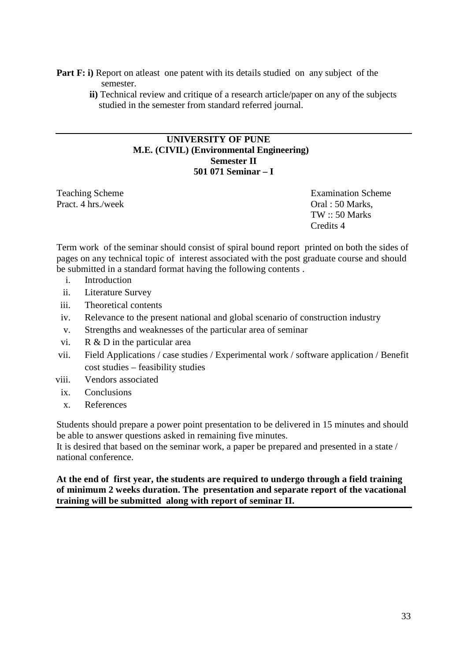- **Part F: i)** Report on at least one patent with its details studied on any subject of the semester.
	- **ii)** Technical review and critique of a research article/paper on any of the subjects studied in the semester from standard referred journal.

## **UNIVERSITY OF PUNE M.E. (CIVIL) (Environmental Engineering) Semester II 501 071 Seminar – I**

Pract. 4 hrs./week Oral : 50 Marks,

Teaching Scheme **Examination** Scheme **Examination** Scheme TW :: 50 Marks Credits 4

Term work of the seminar should consist of spiral bound report printed on both the sides of pages on any technical topic of interest associated with the post graduate course and should be submitted in a standard format having the following contents .

- i. Introduction
- ii. Literature Survey
- iii. Theoretical contents
- iv. Relevance to the present national and global scenario of construction industry
- v. Strengths and weaknesses of the particular area of seminar
- vi. R & D in the particular area
- vii. Field Applications / case studies / Experimental work / software application / Benefit cost studies – feasibility studies
- viii. Vendors associated
	- ix. Conclusions
	- x. References

Students should prepare a power point presentation to be delivered in 15 minutes and should be able to answer questions asked in remaining five minutes.

It is desired that based on the seminar work, a paper be prepared and presented in a state / national conference.

**At the end of first year, the students are required to undergo through a field training of minimum 2 weeks duration. The presentation and separate report of the vacational training will be submitted along with report of seminar II.**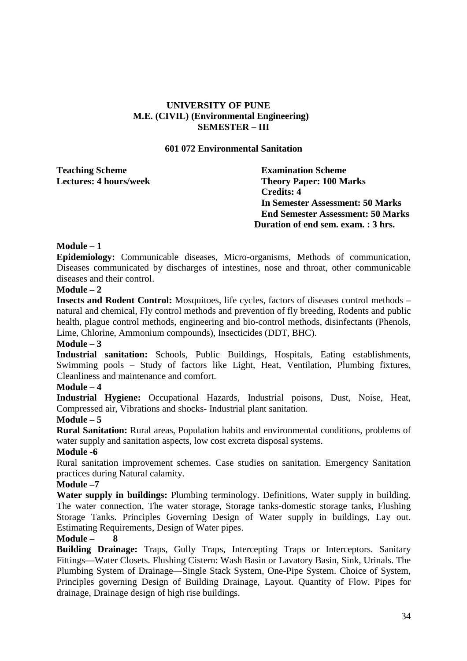## **UNIVERSITY OF PUNE M.E. (CIVIL) (Environmental Engineering) SEMESTER – III**

#### **601 072 Environmental Sanitation**

| <b>Teaching Scheme</b>        | <b>Examination Scheme</b>                |
|-------------------------------|------------------------------------------|
| <b>Lectures: 4 hours/week</b> | <b>Theory Paper: 100 Marks</b>           |
|                               | Credits: 4                               |
|                               | In Semester Assessment: 50 Marks         |
|                               | <b>End Semester Assessment: 50 Marks</b> |
|                               | Duration of end sem. exam. : 3 hrs.      |
|                               |                                          |

#### **Module – 1**

**Epidemiology:** Communicable diseases, Micro-organisms, Methods of communication, Diseases communicated by discharges of intestines, nose and throat, other communicable diseases and their control.

#### **Module – 2**

**Insects and Rodent Control:** Mosquitoes, life cycles, factors of diseases control methods – natural and chemical, Fly control methods and prevention of fly breeding, Rodents and public health, plague control methods, engineering and bio-control methods, disinfectants (Phenols, Lime, Chlorine, Ammonium compounds), Insecticides (DDT, BHC).

#### **Module – 3**

**Industrial sanitation:** Schools, Public Buildings, Hospitals, Eating establishments, Swimming pools – Study of factors like Light, Heat, Ventilation, Plumbing fixtures, Cleanliness and maintenance and comfort.

#### **Module – 4**

**Industrial Hygiene:** Occupational Hazards, Industrial poisons, Dust, Noise, Heat, Compressed air, Vibrations and shocks- Industrial plant sanitation.

#### **Module – 5**

**Rural Sanitation:** Rural areas, Population habits and environmental conditions, problems of water supply and sanitation aspects, low cost excreta disposal systems.

#### **Module -6**

Rural sanitation improvement schemes. Case studies on sanitation. Emergency Sanitation practices during Natural calamity.

#### **Module –7**

**Water supply in buildings:** Plumbing terminology. Definitions, Water supply in building. The water connection, The water storage, Storage tanks-domestic storage tanks, Flushing Storage Tanks. Principles Governing Design of Water supply in buildings, Lay out. Estimating Requirements, Design of Water pipes.

#### **Module – 8**

**Building Drainage:** Traps, Gully Traps, Intercepting Traps or Interceptors. Sanitary Fittings—Water Closets. Flushing Cistern: Wash Basin or Lavatory Basin, Sink, Urinals. The Plumbing System of Drainage—Single Stack System, One-Pipe System. Choice of System, Principles governing Design of Building Drainage, Layout. Quantity of Flow. Pipes for drainage, Drainage design of high rise buildings.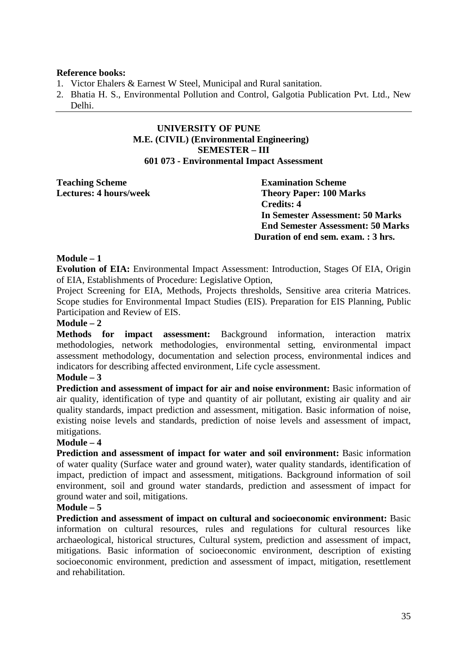#### **Reference books:**

- 1. Victor Ehalers & Earnest W Steel, Municipal and Rural sanitation.
- 2. Bhatia H. S., Environmental Pollution and Control, Galgotia Publication Pvt. Ltd., New Delhi.

#### **UNIVERSITY OF PUNE M.E. (CIVIL) (Environmental Engineering) SEMESTER – III 601 073 - Environmental Impact Assessment**

**Teaching Scheme Examination Scheme** 

**Lectures: 4 hours/week Theory Paper: 100 Marks Credits: 4 In Semester Assessment: 50 Marks End Semester Assessment: 50 Marks Duration of end sem. exam. : 3 hrs.** 

## **Module – 1**

**Evolution of EIA:** Environmental Impact Assessment: Introduction, Stages Of EIA, Origin of EIA, Establishments of Procedure: Legislative Option,

Project Screening for EIA, Methods, Projects thresholds, Sensitive area criteria Matrices. Scope studies for Environmental Impact Studies (EIS). Preparation for EIS Planning, Public Participation and Review of EIS.

#### **Module – 2**

**Methods for impact assessment:** Background information, interaction matrix methodologies, network methodologies, environmental setting, environmental impact assessment methodology, documentation and selection process, environmental indices and indicators for describing affected environment, Life cycle assessment.

#### **Module – 3**

**Prediction and assessment of impact for air and noise environment:** Basic information of air quality, identification of type and quantity of air pollutant, existing air quality and air quality standards, impact prediction and assessment, mitigation. Basic information of noise, existing noise levels and standards, prediction of noise levels and assessment of impact, mitigations.

#### **Module – 4**

**Prediction and assessment of impact for water and soil environment:** Basic information of water quality (Surface water and ground water), water quality standards, identification of impact, prediction of impact and assessment, mitigations. Background information of soil environment, soil and ground water standards, prediction and assessment of impact for ground water and soil, mitigations.

#### **Module – 5**

**Prediction and assessment of impact on cultural and socioeconomic environment:** Basic information on cultural resources, rules and regulations for cultural resources like archaeological, historical structures, Cultural system, prediction and assessment of impact, mitigations. Basic information of socioeconomic environment, description of existing socioeconomic environment, prediction and assessment of impact, mitigation, resettlement and rehabilitation.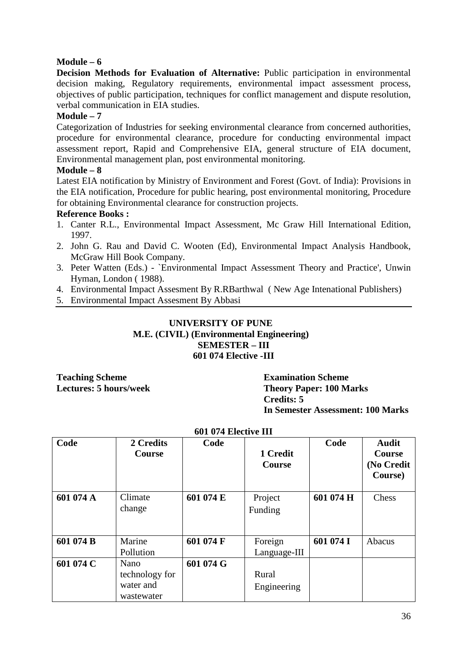## **Module – 6**

**Decision Methods for Evaluation of Alternative:** Public participation in environmental decision making, Regulatory requirements, environmental impact assessment process, objectives of public participation, techniques for conflict management and dispute resolution, verbal communication in EIA studies.

## **Module – 7**

Categorization of Industries for seeking environmental clearance from concerned authorities, procedure for environmental clearance, procedure for conducting environmental impact assessment report, Rapid and Comprehensive EIA, general structure of EIA document, Environmental management plan, post environmental monitoring.

#### **Module – 8**

Latest EIA notification by Ministry of Environment and Forest (Govt. of India): Provisions in the EIA notification, Procedure for public hearing, post environmental monitoring, Procedure for obtaining Environmental clearance for construction projects.

## **Reference Books :**

- 1. Canter R.L., Environmental Impact Assessment, Mc Graw Hill International Edition, 1997.
- 2. John G. Rau and David C. Wooten (Ed), Environmental Impact Analysis Handbook, McGraw Hill Book Company.
- 3. Peter Watten (Eds.) `Environmental Impact Assessment Theory and Practice', Unwin Hyman, London ( 1988).
- 4. Environmental Impact Assesment By R.RBarthwal ( New Age Intenational Publishers)
- 5. Environmental Impact Assesment By Abbasi

## **UNIVERSITY OF PUNE M.E. (CIVIL) (Environmental Engineering) SEMESTER – III 601 074 Elective -III**

**Teaching Scheme Examination Scheme** 

**Lectures: 5 hours/week Theory Paper: 100 Marks Credits: 5 In Semester Assessment: 100 Marks** 

|           | 601 074 Elective III                              |           |                           |           |                                                 |  |  |
|-----------|---------------------------------------------------|-----------|---------------------------|-----------|-------------------------------------------------|--|--|
| Code      | 2 Credits<br>Course                               | Code      | 1 Credit<br><b>Course</b> | Code      | <b>Audit</b><br>Course<br>(No Credit<br>Course) |  |  |
| 601 074 A | Climate<br>change                                 | 601 074 E | Project<br>Funding        | 601 074 H | Chess                                           |  |  |
| 601 074 B | Marine<br>Pollution                               | 601 074 F | Foreign<br>Language-III   | 601 074 I | Abacus                                          |  |  |
| 601 074 C | Nano<br>technology for<br>water and<br>wastewater | 601 074 G | Rural<br>Engineering      |           |                                                 |  |  |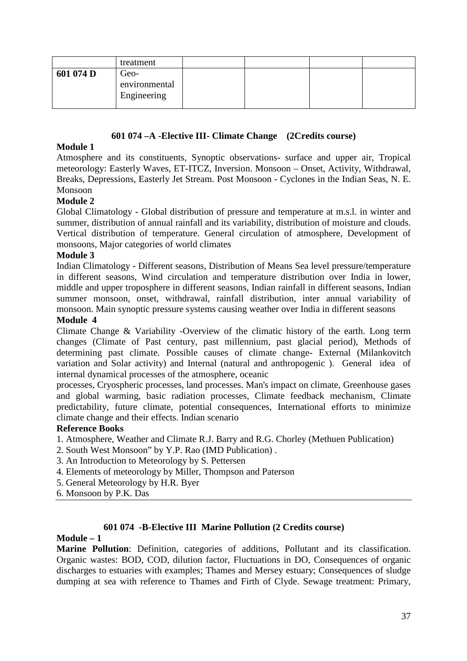|           | treatment                            |  |  |
|-----------|--------------------------------------|--|--|
| 601 074 D | Geo-<br>environmental<br>Engineering |  |  |

## **601 074 –A -Elective III- Climate Change (2Credits course)**

## **Module 1**

Atmosphere and its constituents, Synoptic observations- surface and upper air, Tropical meteorology: Easterly Waves, ET-ITCZ, Inversion. Monsoon – Onset, Activity, Withdrawal, Breaks, Depressions, Easterly Jet Stream. Post Monsoon - Cyclones in the Indian Seas, N. E. Monsoon

## **Module 2**

Global Climatology - Global distribution of pressure and temperature at m.s.l. in winter and summer, distribution of annual rainfall and its variability, distribution of moisture and clouds. Vertical distribution of temperature. General circulation of atmosphere, Development of monsoons, Major categories of world climates

## **Module 3**

Indian Climatology - Different seasons, Distribution of Means Sea level pressure/temperature in different seasons, Wind circulation and temperature distribution over India in lower, middle and upper troposphere in different seasons, Indian rainfall in different seasons, Indian summer monsoon, onset, withdrawal, rainfall distribution, inter annual variability of monsoon. Main synoptic pressure systems causing weather over India in different seasons

#### **Module 4**

Climate Change & Variability -Overview of the climatic history of the earth. Long term changes (Climate of Past century, past millennium, past glacial period), Methods of determining past climate. Possible causes of climate change- External (Milankovitch variation and Solar activity) and Internal (natural and anthropogenic ). General idea of internal dynamical processes of the atmosphere, oceanic

processes, Cryospheric processes, land processes. Man's impact on climate, Greenhouse gases and global warming, basic radiation processes, Climate feedback mechanism, Climate predictability, future climate, potential consequences, International efforts to minimize climate change and their effects. Indian scenario

#### **Reference Books**

- 1. Atmosphere, Weather and Climate R.J. Barry and R.G. Chorley (Methuen Publication)
- 2. South West Monsoon" by Y.P. Rao (IMD Publication) .
- 3. An Introduction to Meteorology by S. Pettersen
- 4. Elements of meteorology by Miller, Thompson and Paterson
- 5. General Meteorology by H.R. Byer

#### 6. Monsoon by P.K. Das

#### **601 074 -B-Elective III Marine Pollution (2 Credits course)**

#### **Module – 1**

**Marine Pollution**: Definition, categories of additions, Pollutant and its classification. Organic wastes: BOD, COD, dilution factor, Fluctuations in DO, Consequences of organic discharges to estuaries with examples; Thames and Mersey estuary; Consequences of sludge dumping at sea with reference to Thames and Firth of Clyde. Sewage treatment: Primary,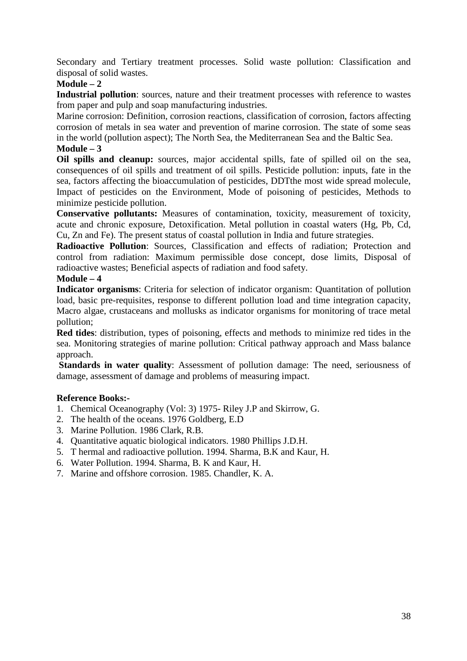Secondary and Tertiary treatment processes. Solid waste pollution: Classification and disposal of solid wastes.

## **Module – 2**

**Industrial pollution**: sources, nature and their treatment processes with reference to wastes from paper and pulp and soap manufacturing industries.

Marine corrosion: Definition, corrosion reactions, classification of corrosion, factors affecting corrosion of metals in sea water and prevention of marine corrosion. The state of some seas in the world (pollution aspect); The North Sea, the Mediterranean Sea and the Baltic Sea.

#### **Module – 3**

**Oil spills and cleanup:** sources, major accidental spills, fate of spilled oil on the sea, consequences of oil spills and treatment of oil spills. Pesticide pollution: inputs, fate in the sea, factors affecting the bioaccumulation of pesticides, DDTthe most wide spread molecule, Impact of pesticides on the Environment, Mode of poisoning of pesticides, Methods to minimize pesticide pollution.

**Conservative pollutants:** Measures of contamination, toxicity, measurement of toxicity, acute and chronic exposure, Detoxification. Metal pollution in coastal waters (Hg, Pb, Cd, Cu, Zn and Fe). The present status of coastal pollution in India and future strategies.

**Radioactive Pollution**: Sources, Classification and effects of radiation; Protection and control from radiation: Maximum permissible dose concept, dose limits, Disposal of radioactive wastes; Beneficial aspects of radiation and food safety.

#### **Module – 4**

**Indicator organisms**: Criteria for selection of indicator organism: Quantitation of pollution load, basic pre-requisites, response to different pollution load and time integration capacity, Macro algae, crustaceans and mollusks as indicator organisms for monitoring of trace metal pollution;

**Red tides**: distribution, types of poisoning, effects and methods to minimize red tides in the sea. Monitoring strategies of marine pollution: Critical pathway approach and Mass balance approach.

**Standards in water quality:** Assessment of pollution damage: The need, seriousness of damage, assessment of damage and problems of measuring impact.

## **Reference Books:-**

- 1. Chemical Oceanography (Vol: 3) 1975- Riley J.P and Skirrow, G.
- 2. The health of the oceans. 1976 Goldberg, E.D
- 3. Marine Pollution. 1986 Clark, R.B.
- 4. Quantitative aquatic biological indicators. 1980 Phillips J.D.H.
- 5. T hermal and radioactive pollution. 1994. Sharma, B.K and Kaur, H.
- 6. Water Pollution. 1994. Sharma, B. K and Kaur, H.
- 7. Marine and offshore corrosion. 1985. Chandler, K. A.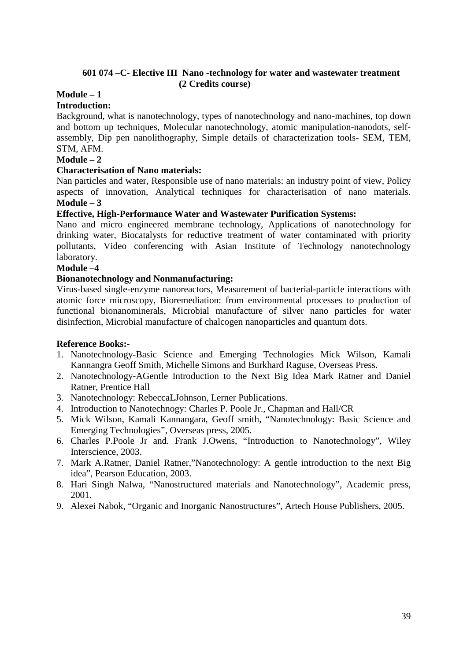## **601 074 –C- Elective III Nano -technology for water and wastewater treatment (2 Credits course)**

# **Module – 1**

#### **Introduction:**

Background, what is nanotechnology, types of nanotechnology and nano-machines, top down and bottom up techniques, Molecular nanotechnology, atomic manipulation-nanodots, selfassembly, Dip pen nanolithography, Simple details of characterization tools- SEM, TEM, STM, AFM.

#### **Module – 2**

## **Characterisation of Nano materials:**

Nan particles and water, Responsible use of nano materials: an industry point of view, Policy aspects of innovation, Analytical techniques for characterisation of nano materials. **Module – 3** 

## **Effective, High-Performance Water and Wastewater Purification Systems:**

Nano and micro engineered membrane technology, Applications of nanotechnology for drinking water, Biocatalysts for reductive treatment of water contaminated with priority pollutants, Video conferencing with Asian Institute of Technology nanotechnology laboratory.

#### **Module –4**

## **Bionanotechnology and Nonmanufacturing:**

Virus-based single-enzyme nanoreactors, Measurement of bacterial-particle interactions with atomic force microscopy, Bioremediation: from environmental processes to production of functional bionanominerals, Microbial manufacture of silver nano particles for water disinfection, Microbial manufacture of chalcogen nanoparticles and quantum dots.

#### **Reference Books:-**

- 1. Nanotechnology-Basic Science and Emerging Technologies Mick Wilson, Kamali Kannangra Geoff Smith, Michelle Simons and Burkhard Raguse, Overseas Press.
- 2. Nanotechnology-AGentle Introduction to the Next Big Idea Mark Ratner and Daniel Ratner, Prentice Hall
- 3. Nanotechnology: RebeccaLJohnson, Lerner Publications.
- 4. Introduction to Nanotechnogy: Charles P. Poole Jr., Chapman and Hall/CR
- 5. Mick Wilson, Kamali Kannangara, Geoff smith, "Nanotechnology: Basic Science and Emerging Technologies", Overseas press, 2005.
- 6. Charles P.Poole Jr and. Frank J.Owens, "Introduction to Nanotechnology", Wiley Interscience, 2003.
- 7. Mark A.Ratner, Daniel Ratner,"Nanotechnology: A gentle introduction to the next Big idea", Pearson Education, 2003.
- 8. Hari Singh Nalwa, "Nanostructured materials and Nanotechnology", Academic press, 2001.
- 9. Alexei Nabok, "Organic and Inorganic Nanostructures", Artech House Publishers, 2005.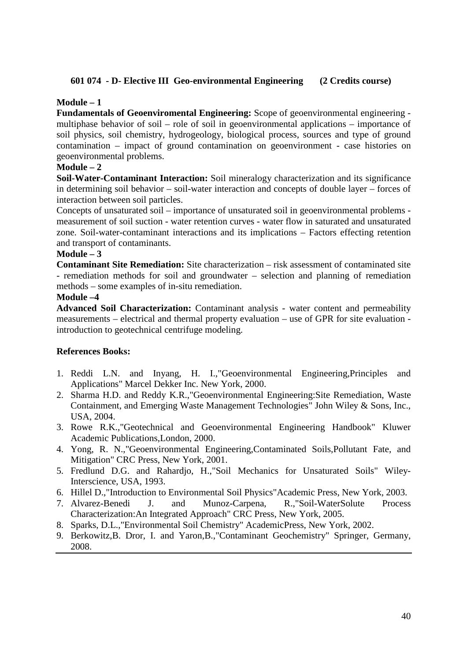## **601 074 - D- Elective III Geo-environmental Engineering (2 Credits course)**

## **Module – 1**

**Fundamentals of Geoenviromental Engineering:** Scope of geoenvironmental engineering multiphase behavior of soil – role of soil in geoenvironmental applications – importance of soil physics, soil chemistry, hydrogeology, biological process, sources and type of ground contamination – impact of ground contamination on geoenvironment - case histories on geoenvironmental problems.

## **Module – 2**

**Soil-Water-Contaminant Interaction:** Soil mineralogy characterization and its significance in determining soil behavior – soil-water interaction and concepts of double layer – forces of interaction between soil particles.

Concepts of unsaturated soil – importance of unsaturated soil in geoenvironmental problems measurement of soil suction - water retention curves - water flow in saturated and unsaturated zone. Soil-water-contaminant interactions and its implications – Factors effecting retention and transport of contaminants.

#### **Module – 3**

**Contaminant Site Remediation:** Site characterization – risk assessment of contaminated site - remediation methods for soil and groundwater – selection and planning of remediation methods – some examples of in-situ remediation.

#### **Module –4**

**Advanced Soil Characterization:** Contaminant analysis - water content and permeability measurements – electrical and thermal property evaluation – use of GPR for site evaluation introduction to geotechnical centrifuge modeling.

## **References Books:**

- 1. Reddi L.N. and Inyang, H. I.,"Geoenvironmental Engineering,Principles and Applications" Marcel Dekker Inc. New York, 2000.
- 2. Sharma H.D. and Reddy K.R.,"Geoenvironmental Engineering:Site Remediation, Waste Containment, and Emerging Waste Management Technologies" John Wiley & Sons, Inc., USA, 2004.
- 3. Rowe R.K.,"Geotechnical and Geoenvironmental Engineering Handbook" Kluwer Academic Publications,London, 2000.
- 4. Yong, R. N.,"Geoenvironmental Engineering,Contaminated Soils,Pollutant Fate, and Mitigation" CRC Press, New York, 2001.
- 5. Fredlund D.G. and Rahardjo, H.,"Soil Mechanics for Unsaturated Soils" Wiley-Interscience, USA, 1993.
- 6. Hillel D.,"Introduction to Environmental Soil Physics"Academic Press, New York, 2003.
- 7. Alvarez-Benedi J. and Munoz-Carpena, R.,"Soil-WaterSolute Process Characterization:An Integrated Approach" CRC Press, New York, 2005.
- 8. Sparks, D.L.,"Environmental Soil Chemistry" AcademicPress, New York, 2002.
- 9. Berkowitz,B. Dror, I. and Yaron,B.,"Contaminant Geochemistry" Springer, Germany, 2008.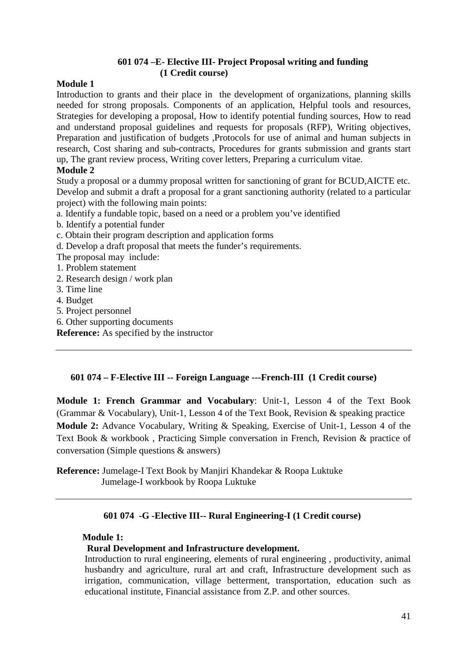## **601 074 –E- Elective III- Project Proposal writing and funding (1 Credit course)**

## **Module 1**

Introduction to grants and their place in the development of organizations, planning skills needed for strong proposals. Components of an application, Helpful tools and resources, Strategies for developing a proposal, How to identify potential funding sources, How to read and understand proposal guidelines and requests for proposals (RFP), Writing objectives, Preparation and justification of budgets ,Protocols for use of animal and human subjects in research, Cost sharing and sub-contracts, Procedures for grants submission and grants start up, The grant review process, Writing cover letters, Preparing a curriculum vitae.

## **Module 2**

Study a proposal or a dummy proposal written for sanctioning of grant for BCUD,AICTE etc. Develop and submit a draft a proposal for a grant sanctioning authority (related to a particular project) with the following main points:

- a. Identify a fundable topic, based on a need or a problem you've identified
- b. Identify a potential funder
- c. Obtain their program description and application forms
- d. Develop a draft proposal that meets the funder's requirements.
- The proposal may include:
- 1. Problem statement
- 2. Research design / work plan
- 3. Time line
- 4. Budget
- 5. Project personnel
- 6. Other supporting documents
- **Reference:** As specified by the instructor

## **601 074 – F-Elective III -- Foreign Language ---French-III (1 Credit course)**

**Module 1: French Grammar and Vocabulary**: Unit-1, Lesson 4 of the Text Book (Grammar & Vocabulary), Unit-1, Lesson 4 of the Text Book, Revision & speaking practice **Module 2:** Advance Vocabulary, Writing & Speaking, Exercise of Unit-1, Lesson 4 of the Text Book & workbook , Practicing Simple conversation in French, Revision & practice of conversation (Simple questions & answers)

**Reference:** Jumelage-I Text Book by Manjiri Khandekar & Roopa Luktuke Jumelage-I workbook by Roopa Luktuke

## **601 074 -G -Elective III-- Rural Engineering-I (1 Credit course)**

## **Module 1:**

## **Rural Development and Infrastructure development.**

Introduction to rural engineering, elements of rural engineering , productivity, animal husbandry and agriculture, rural art and craft, Infrastructure development such as irrigation, communication, village betterment, transportation, education such as educational institute, Financial assistance from Z.P. and other sources.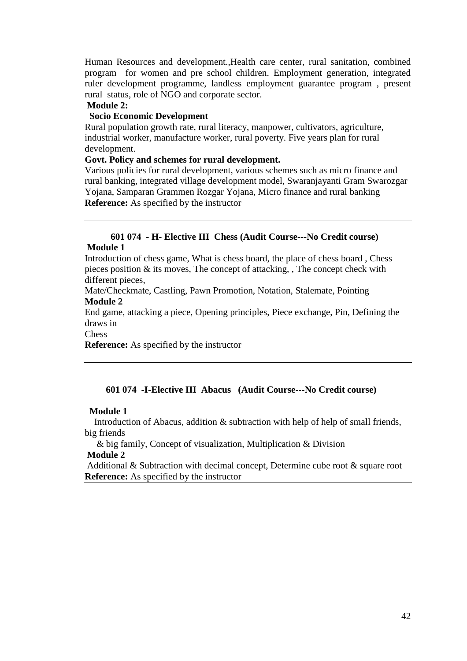Human Resources and development.,Health care center, rural sanitation, combined program for women and pre school children. Employment generation, integrated ruler development programme, landless employment guarantee program , present rural status, role of NGO and corporate sector.

#### **Module 2:**

#### **Socio Economic Development**

Rural population growth rate, rural literacy, manpower, cultivators, agriculture, industrial worker, manufacture worker, rural poverty. Five years plan for rural development.

#### **Govt. Policy and schemes for rural development.**

Various policies for rural development, various schemes such as micro finance and rural banking, integrated village development model, Swaranjayanti Gram Swarozgar Yojana, Samparan Grammen Rozgar Yojana, Micro finance and rural banking **Reference:** As specified by the instructor

#### **601 074 - H- Elective III Chess (Audit Course---No Credit course) Module 1**

Introduction of chess game, What is chess board, the place of chess board , Chess pieces position  $\&$  its moves, The concept of attacking, , The concept check with different pieces.

Mate/Checkmate, Castling, Pawn Promotion, Notation, Stalemate, Pointing **Module 2** 

End game, attacking a piece, Opening principles, Piece exchange, Pin, Defining the draws in

Chess

**Reference:** As specified by the instructor

#### **601 074 -I-Elective III Abacus (Audit Course---No Credit course)**

#### **Module 1**

 Introduction of Abacus, addition & subtraction with help of help of small friends, big friends

 & big family, Concept of visualization, Multiplication & Division  **Module 2** 

 Additional & Subtraction with decimal concept, Determine cube root & square root **Reference:** As specified by the instructor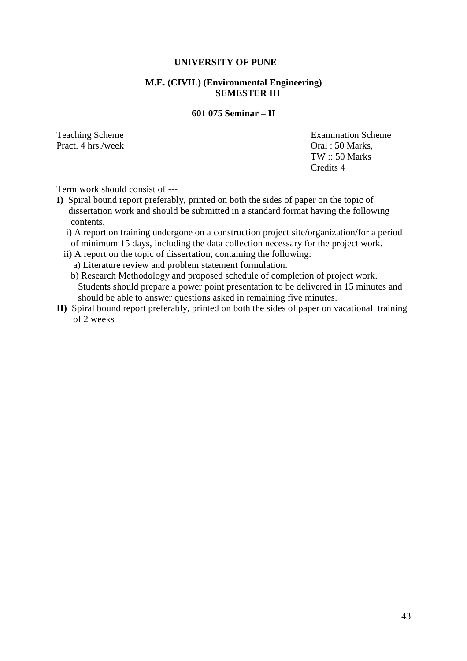#### **UNIVERSITY OF PUNE**

## **M.E. (CIVIL) (Environmental Engineering) SEMESTER III**

#### **601 075 Seminar – II**

Teaching Scheme<br>
Pract. 4 hrs /week<br>
Oral : 50 Marks Oral : 50 Marks, TW :: 50 Marks Credits 4

Term work should consist of ---

- **I)** Spiral bound report preferably, printed on both the sides of paper on the topic of dissertation work and should be submitted in a standard format having the following contents.
	- i) A report on training undergone on a construction project site/organization/for a period of minimum 15 days, including the data collection necessary for the project work.
	- ii) A report on the topic of dissertation, containing the following:
		- a) Literature review and problem statement formulation.
		- b) Research Methodology and proposed schedule of completion of project work. Students should prepare a power point presentation to be delivered in 15 minutes and should be able to answer questions asked in remaining five minutes.
- **II)** Spiral bound report preferably, printed on both the sides of paper on vacational training of 2 weeks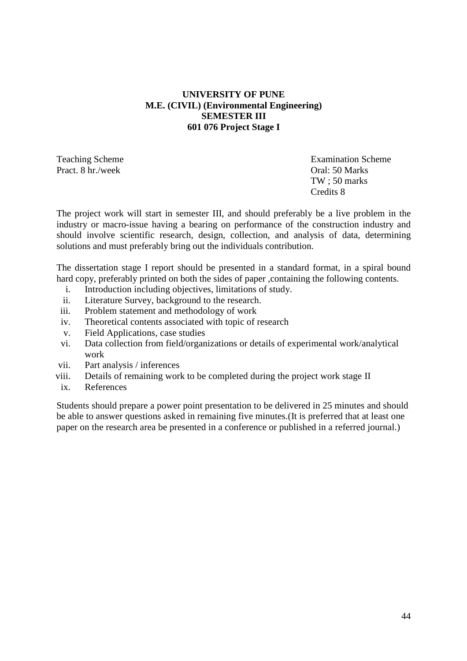## **UNIVERSITY OF PUNE M.E. (CIVIL) (Environmental Engineering) SEMESTER III 601 076 Project Stage I**

Pract. 8 hr./week Oral: 50 Marks

Teaching Scheme **Examination** Scheme TW ; 50 marks Credits 8

The project work will start in semester III, and should preferably be a live problem in the industry or macro-issue having a bearing on performance of the construction industry and should involve scientific research, design, collection, and analysis of data, determining solutions and must preferably bring out the individuals contribution.

The dissertation stage I report should be presented in a standard format, in a spiral bound hard copy, preferably printed on both the sides of paper, containing the following contents.

- i. Introduction including objectives, limitations of study.
- ii. Literature Survey, background to the research.
- iii. Problem statement and methodology of work
- iv. Theoretical contents associated with topic of research
- v. Field Applications, case studies
- vi. Data collection from field/organizations or details of experimental work/analytical work
- vii. Part analysis / inferences
- viii. Details of remaining work to be completed during the project work stage II
- ix. References

Students should prepare a power point presentation to be delivered in 25 minutes and should be able to answer questions asked in remaining five minutes.(It is preferred that at least one paper on the research area be presented in a conference or published in a referred journal.)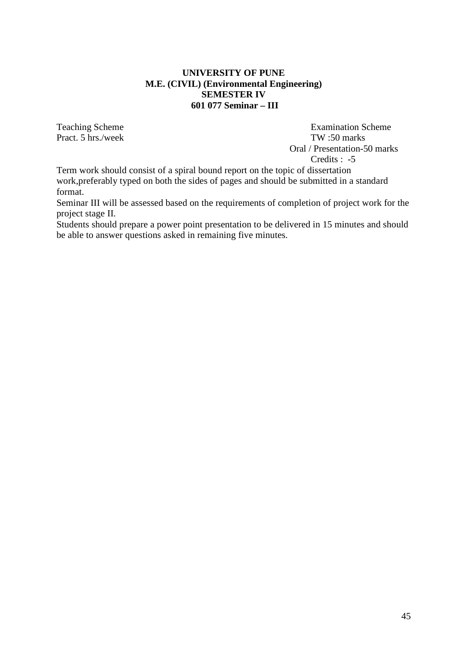#### **UNIVERSITY OF PUNE M.E. (CIVIL) (Environmental Engineering) SEMESTER IV 601 077 Seminar – III**

Teaching Scheme **Examination** Scheme Pract. 5 hrs./week TW :50 marks Oral / Presentation-50 marks Credits : -5

Term work should consist of a spiral bound report on the topic of dissertation work,preferably typed on both the sides of pages and should be submitted in a standard

format. Seminar III will be assessed based on the requirements of completion of project work for the project stage II.

Students should prepare a power point presentation to be delivered in 15 minutes and should be able to answer questions asked in remaining five minutes.